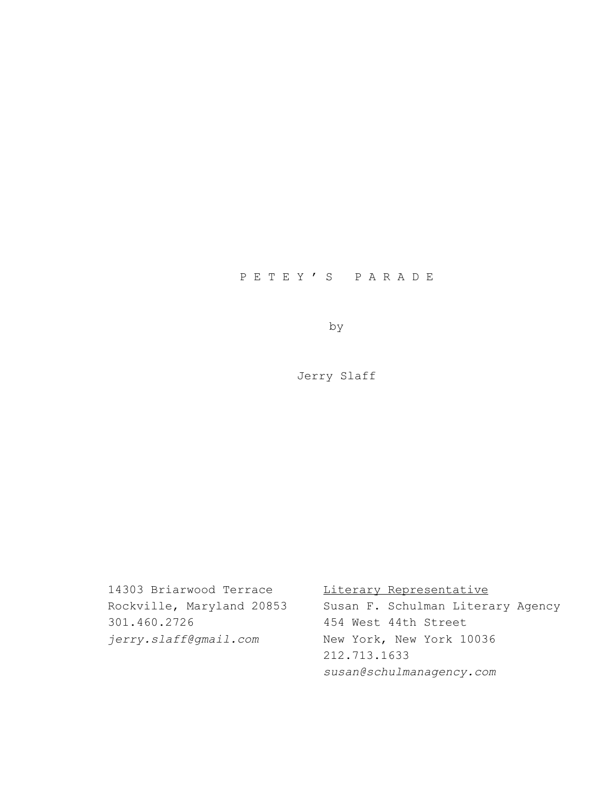# P E T E Y ' S P A R A D E

by

Jerry Slaff

14303 Briarwood Terrace Literary Representative Rockville, Maryland 20853 Susan F. Schulman Literary Agency 301.460.2726 454 West 44th Street *jerry.slaff@gmail.com* New York, New York 10036 212.713.1633 *susan@schulmanagency.com*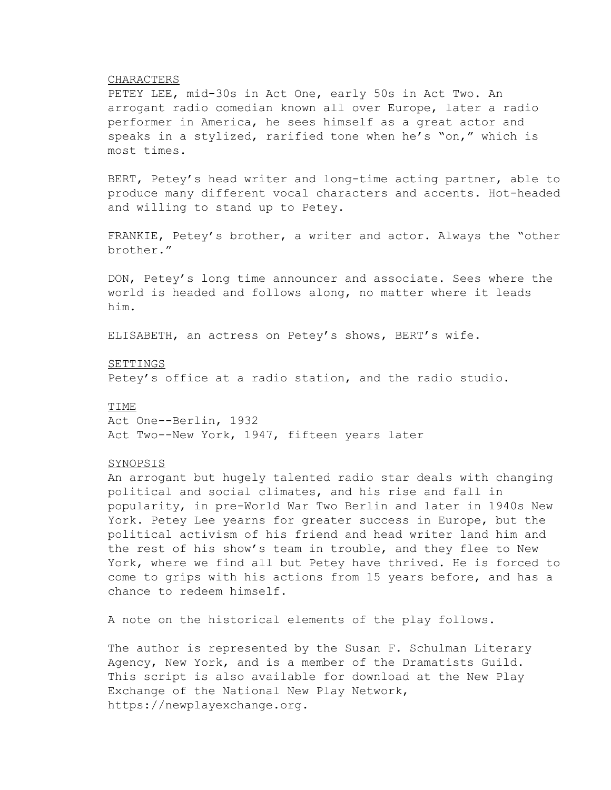### CHARACTERS

PETEY LEE, mid-30s in Act One, early 50s in Act Two. An arrogant radio comedian known all over Europe, later a radio performer in America, he sees himself as a great actor and speaks in a stylized, rarified tone when he's "on," which is most times.

BERT, Petey's head writer and long-time acting partner, able to produce many different vocal characters and accents. Hot-headed and willing to stand up to Petey.

FRANKIE, Petey's brother, a writer and actor. Always the "other brother."

DON, Petey's long time announcer and associate. Sees where the world is headed and follows along, no matter where it leads him.

ELISABETH, an actress on Petey's shows, BERT's wife.

### SETTINGS

Petey's office at a radio station, and the radio studio.

## TIME

Act One--Berlin, 1932 Act Two--New York, 1947, fifteen years later

### SYNOPSIS

An arrogant but hugely talented radio star deals with changing political and social climates, and his rise and fall in popularity, in pre-World War Two Berlin and later in 1940s New York. Petey Lee yearns for greater success in Europe, but the political activism of his friend and head writer land him and the rest of his show's team in trouble, and they flee to New York, where we find all but Petey have thrived. He is forced to come to grips with his actions from 15 years before, and has a chance to redeem himself.

A note on the historical elements of the play follows.

The author is represented by the Susan F. Schulman Literary Agency, New York, and is a member of the Dramatists Guild. This script is also available for download at the New Play Exchange of the National New Play Network, https://newplayexchange.org.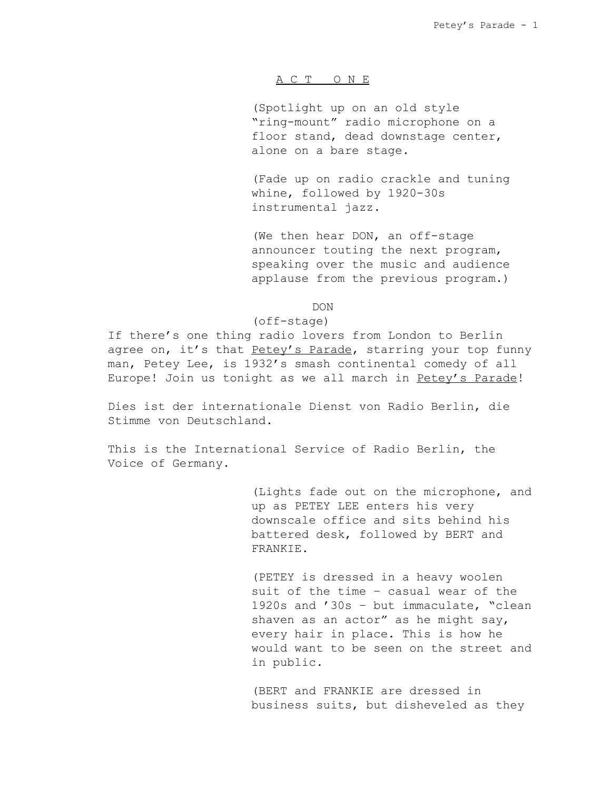## A C T O N E

(Spotlight up on an old style "ring-mount" radio microphone on a floor stand, dead downstage center, alone on a bare stage.

(Fade up on radio crackle and tuning whine, followed by 1920-30s instrumental jazz.

(We then hear DON, an off-stage announcer touting the next program, speaking over the music and audience applause from the previous program.)

DON

### (off-stage)

If there's one thing radio lovers from London to Berlin agree on, it's that Petey's Parade, starring your top funny man, Petey Lee, is 1932's smash continental comedy of all Europe! Join us tonight as we all march in Petey's Parade!

Dies ist der internationale Dienst von Radio Berlin, die Stimme von Deutschland.

This is the International Service of Radio Berlin, the Voice of Germany.

> (Lights fade out on the microphone, and up as PETEY LEE enters his very downscale office and sits behind his battered desk, followed by BERT and FRANKIE.

> (PETEY is dressed in a heavy woolen suit of the time – casual wear of the 1920s and '30s – but immaculate, "clean shaven as an actor" as he might say, every hair in place. This is how he would want to be seen on the street and in public.

(BERT and FRANKIE are dressed in business suits, but disheveled as they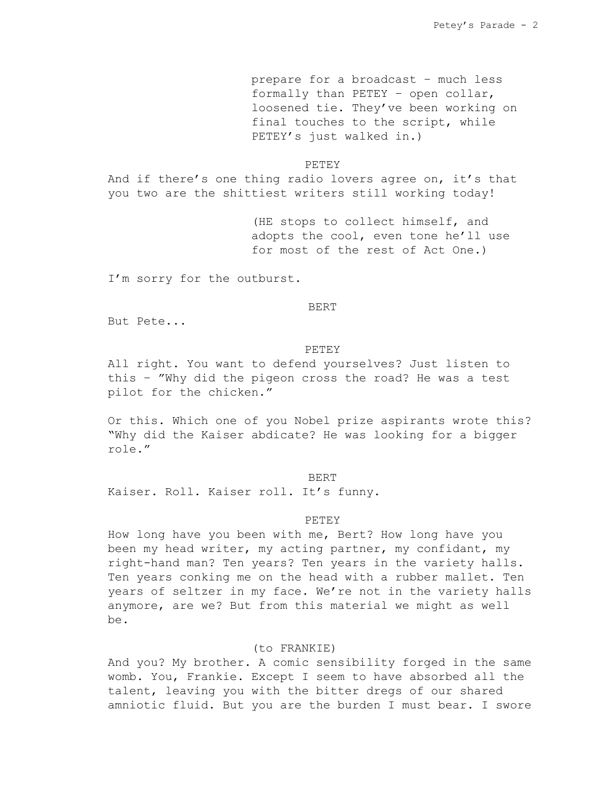prepare for a broadcast – much less formally than PETEY – open collar, loosened tie. They've been working on final touches to the script, while PETEY's just walked in.)

#### PETEY

And if there's one thing radio lovers agree on, it's that you two are the shittiest writers still working today!

> (HE stops to collect himself, and adopts the cool, even tone he'll use for most of the rest of Act One.)

I'm sorry for the outburst.

#### BERT

But Pete...

#### PETEY

All right. You want to defend yourselves? Just listen to this – "Why did the pigeon cross the road? He was a test pilot for the chicken."

Or this. Which one of you Nobel prize aspirants wrote this? "Why did the Kaiser abdicate? He was looking for a bigger role."

### BERT

Kaiser. Roll. Kaiser roll. It's funny.

#### **PETEY**

How long have you been with me, Bert? How long have you been my head writer, my acting partner, my confidant, my right-hand man? Ten years? Ten years in the variety halls. Ten years conking me on the head with a rubber mallet. Ten years of seltzer in my face. We're not in the variety halls anymore, are we? But from this material we might as well be.

# (to FRANKIE)

And you? My brother. A comic sensibility forged in the same womb. You, Frankie. Except I seem to have absorbed all the talent, leaving you with the bitter dregs of our shared amniotic fluid. But you are the burden I must bear. I swore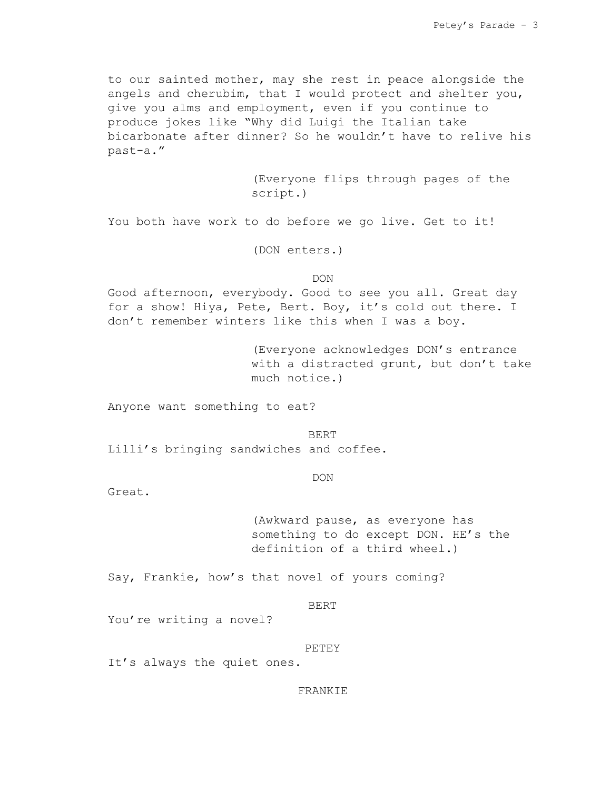to our sainted mother, may she rest in peace alongside the angels and cherubim, that I would protect and shelter you, give you alms and employment, even if you continue to produce jokes like "Why did Luigi the Italian take bicarbonate after dinner? So he wouldn't have to relive his past-a."

> (Everyone flips through pages of the script.)

You both have work to do before we go live. Get to it!

(DON enters.)

DON

Good afternoon, everybody. Good to see you all. Great day for a show! Hiya, Pete, Bert. Boy, it's cold out there. I don't remember winters like this when I was a boy.

> (Everyone acknowledges DON's entrance with a distracted grunt, but don't take much notice.)

Anyone want something to eat?

BERT Lilli's bringing sandwiches and coffee.

DON

Great.

(Awkward pause, as everyone has something to do except DON. HE's the definition of a third wheel.)

Say, Frankie, how's that novel of yours coming?

BERT

You're writing a novel?

PETEY

It's always the quiet ones.

FRANKIE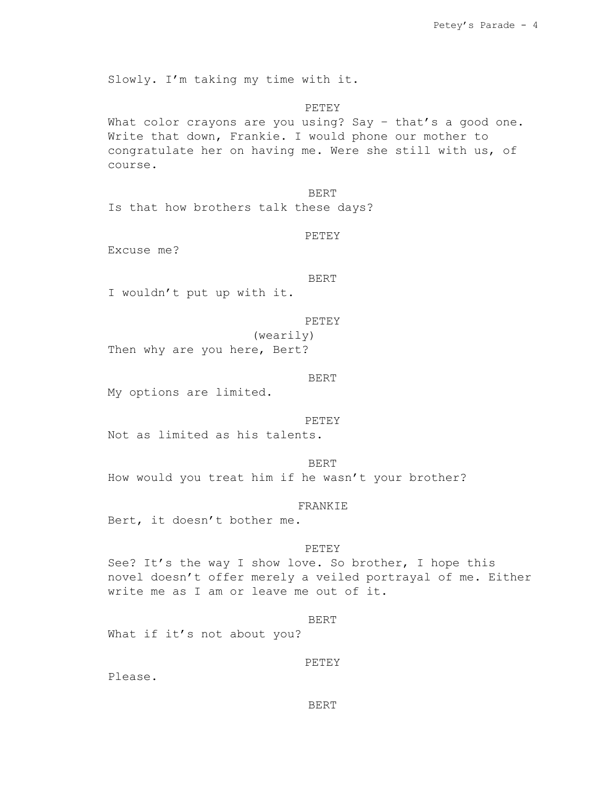Slowly. I'm taking my time with it.

PETEY What color crayons are you using? Say - that's a good one. Write that down, Frankie. I would phone our mother to congratulate her on having me. Were she still with us, of course.

BERT Is that how brothers talk these days?

PETEY

Excuse me?

BERT

I wouldn't put up with it.

```
PETEY
```
(wearily) Then why are you here, Bert?

BERT

My options are limited.

PETEY

Not as limited as his talents.

BERT How would you treat him if he wasn't your brother?

FRANKIE

Bert, it doesn't bother me.

# PETEY

See? It's the way I show love. So brother, I hope this novel doesn't offer merely a veiled portrayal of me. Either write me as I am or leave me out of it.

### BERT

What if it's not about you?

PETEY

Please.

#### BERT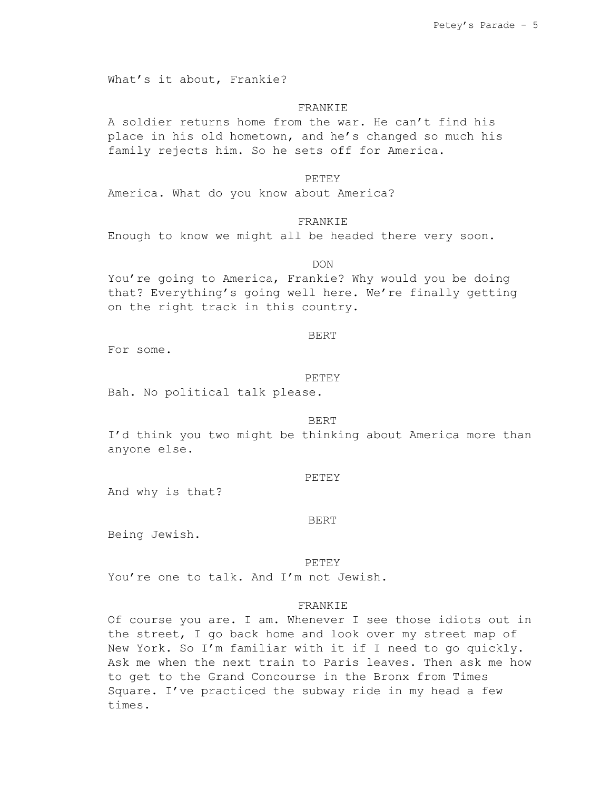What's it about, Frankie?

#### FRANKIE

A soldier returns home from the war. He can't find his place in his old hometown, and he's changed so much his family rejects him. So he sets off for America.

### PETEY

America. What do you know about America?

# FRANKIE

Enough to know we might all be headed there very soon.

#### DON

You're going to America, Frankie? Why would you be doing that? Everything's going well here. We're finally getting on the right track in this country.

## BERT

For some.

#### PETEY

Bah. No political talk please.

#### BERT

I'd think you two might be thinking about America more than anyone else.

### PETEY

And why is that?

## BERT

Being Jewish.

#### PETEY

You're one to talk. And I'm not Jewish.

# FRANKIE

Of course you are. I am. Whenever I see those idiots out in the street, I go back home and look over my street map of New York. So I'm familiar with it if I need to go quickly. Ask me when the next train to Paris leaves. Then ask me how to get to the Grand Concourse in the Bronx from Times Square. I've practiced the subway ride in my head a few times.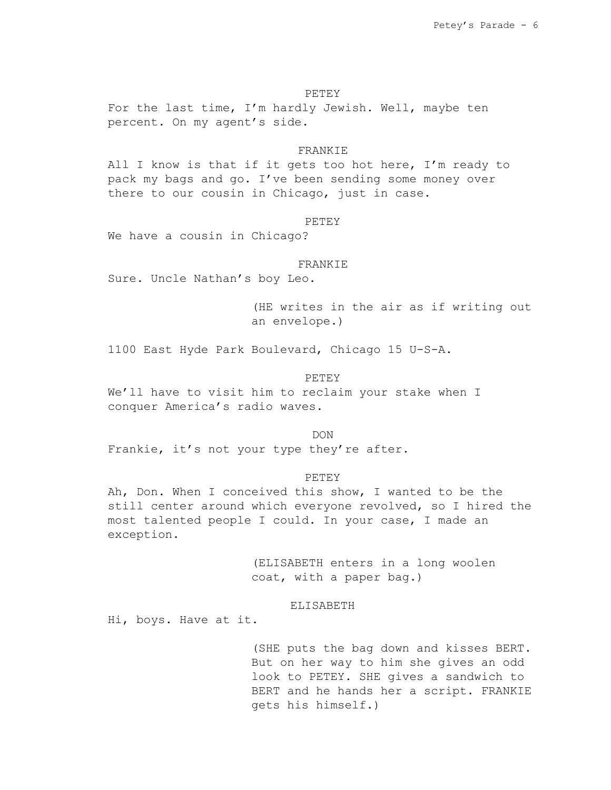PETEY

For the last time, I'm hardly Jewish. Well, maybe ten percent. On my agent's side.

# **FRANKIE**

All I know is that if it gets too hot here, I'm ready to pack my bags and go. I've been sending some money over there to our cousin in Chicago, just in case.

### **PETEY**

We have a cousin in Chicago?

# FRANKIE

Sure. Uncle Nathan's boy Leo.

(HE writes in the air as if writing out an envelope.)

1100 East Hyde Park Boulevard, Chicago 15 U-S-A.

## PETEY

We'll have to visit him to reclaim your stake when I conquer America's radio waves.

DON

Frankie, it's not your type they're after.

### PETEY

Ah, Don. When I conceived this show, I wanted to be the still center around which everyone revolved, so I hired the most talented people I could. In your case, I made an exception.

> (ELISABETH enters in a long woolen coat, with a paper bag.)

#### ELISABETH

Hi, boys. Have at it.

(SHE puts the bag down and kisses BERT. But on her way to him she gives an odd look to PETEY. SHE gives a sandwich to BERT and he hands her a script. FRANKIE gets his himself.)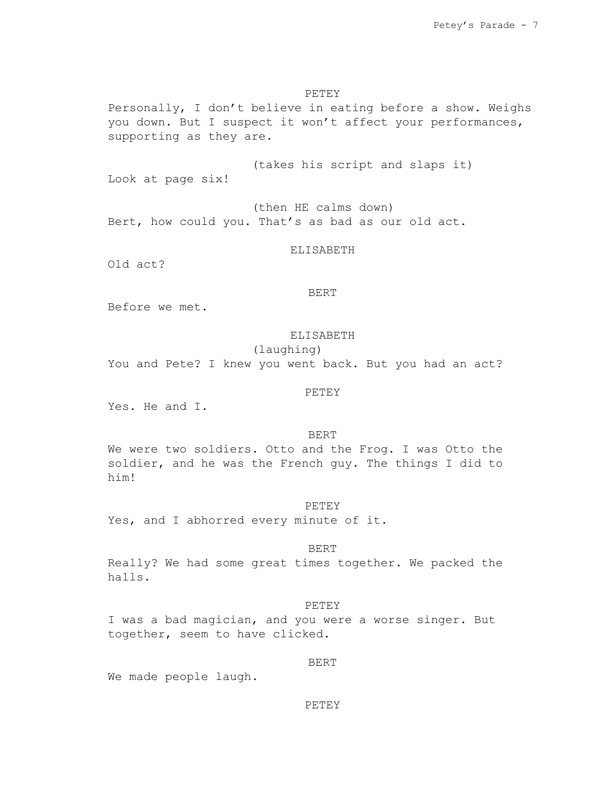# PETEY

Personally, I don't believe in eating before a show. Weighs you down. But I suspect it won't affect your performances, supporting as they are.

(takes his script and slaps it)

Look at page six!

(then HE calms down) Bert, how could you. That's as bad as our old act.

### ELISABETH

Old act?

# BERT

Before we met.

# ELISABETH

## (laughing)

You and Pete? I knew you went back. But you had an act?

# PETEY

Yes. He and I.

### BERT

We were two soldiers. Otto and the Frog. I was Otto the soldier, and he was the French guy. The things I did to him!

### PETEY

Yes, and I abhorred every minute of it.

# BERT

Really? We had some great times together. We packed the halls.

### PETEY

I was a bad magician, and you were a worse singer. But together, seem to have clicked.

#### BERT

We made people laugh.

#### PETEY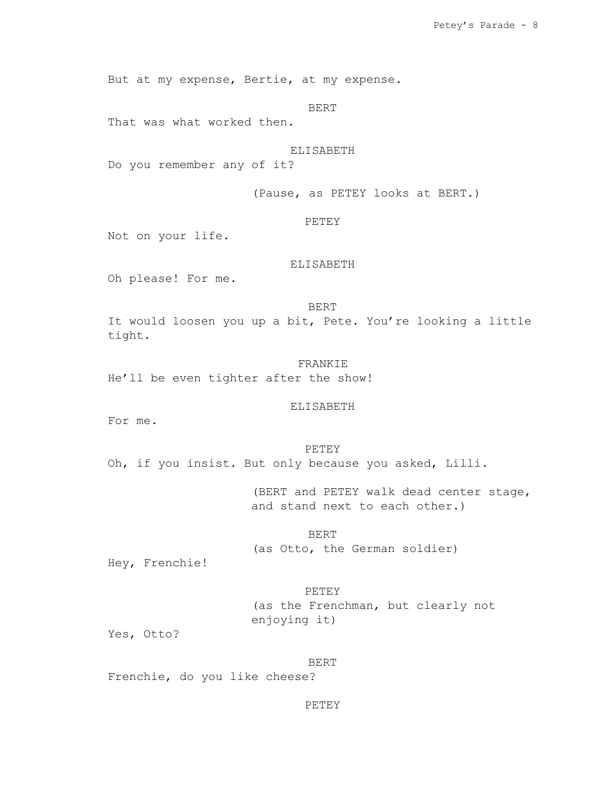But at my expense, Bertie, at my expense.

BERT

That was what worked then.

# ELISABETH

Do you remember any of it?

(Pause, as PETEY looks at BERT.)

### PETEY

Not on your life.

# ELISABETH

Oh please! For me.

### BERT

It would loosen you up a bit, Pete. You're looking a little tight.

FRANKIE He'll be even tighter after the show!

# ELISABETH

For me.

PETEY Oh, if you insist. But only because you asked, Lilli.

> (BERT and PETEY walk dead center stage, and stand next to each other.)

BERT (as Otto, the German soldier)

Hey, Frenchie!

PETEY (as the Frenchman, but clearly not enjoying it)

Yes, Otto?

BERT Frenchie, do you like cheese?

# PETEY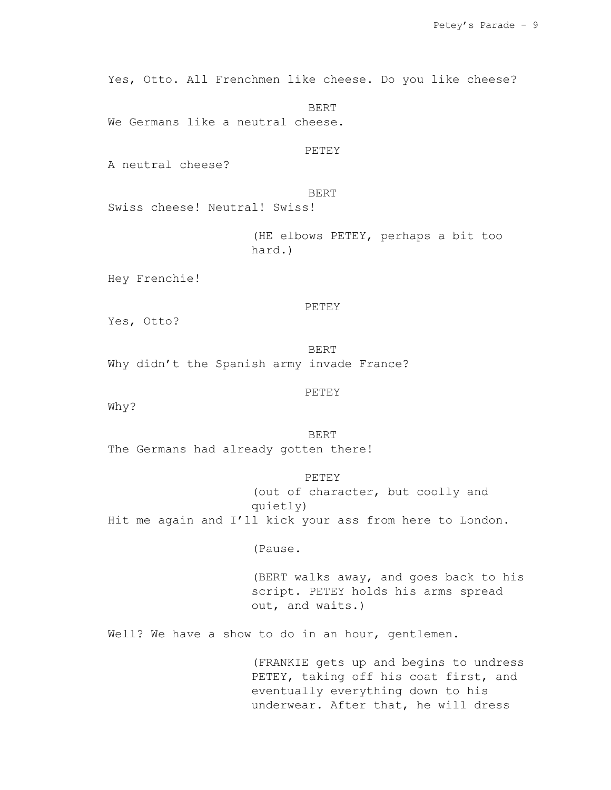Yes, Otto. All Frenchmen like cheese. Do you like cheese?

BERT We Germans like a neutral cheese.

**PETEY** 

A neutral cheese?

BERT

Swiss cheese! Neutral! Swiss!

(HE elbows PETEY, perhaps a bit too hard.)

Hey Frenchie!

PETEY

Yes, Otto?

BERT Why didn't the Spanish army invade France?

PETEY

Why?

BERT The Germans had already gotten there!

PETEY (out of character, but coolly and quietly) Hit me again and I'll kick your ass from here to London.

(Pause.

(BERT walks away, and goes back to his script. PETEY holds his arms spread out, and waits.)

Well? We have a show to do in an hour, gentlemen.

(FRANKIE gets up and begins to undress PETEY, taking off his coat first, and eventually everything down to his underwear. After that, he will dress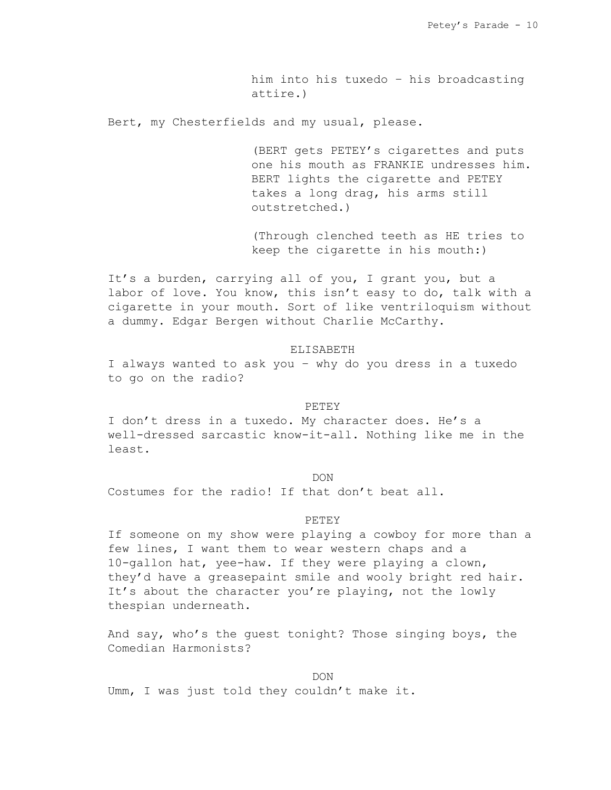him into his tuxedo – his broadcasting attire.)

Bert, my Chesterfields and my usual, please.

(BERT gets PETEY's cigarettes and puts one his mouth as FRANKIE undresses him. BERT lights the cigarette and PETEY takes a long drag, his arms still outstretched.)

(Through clenched teeth as HE tries to keep the cigarette in his mouth:)

It's a burden, carrying all of you, I grant you, but a labor of love. You know, this isn't easy to do, talk with a cigarette in your mouth. Sort of like ventriloquism without a dummy. Edgar Bergen without Charlie McCarthy.

### ELISABETH

I always wanted to ask you – why do you dress in a tuxedo to go on the radio?

### PETEY

I don't dress in a tuxedo. My character does. He's a well-dressed sarcastic know-it-all. Nothing like me in the least.

### DON

Costumes for the radio! If that don't beat all.

### PETEY

If someone on my show were playing a cowboy for more than a few lines, I want them to wear western chaps and a 10-gallon hat, yee-haw. If they were playing a clown, they'd have a greasepaint smile and wooly bright red hair. It's about the character you're playing, not the lowly thespian underneath.

And say, who's the guest tonight? Those singing boys, the Comedian Harmonists?

DON Umm, I was just told they couldn't make it.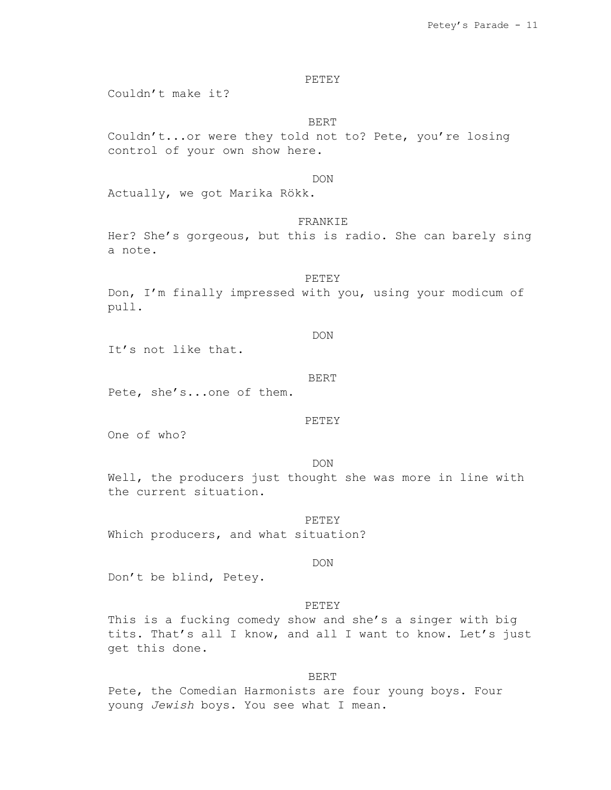PETEY

Couldn't make it?

BERT

Couldn't...or were they told not to? Pete, you're losing control of your own show here.

### DON

Actually, we got Marika Rökk.

# FRANKIE

Her? She's gorgeous, but this is radio. She can barely sing a note.

#### PETEY

Don, I'm finally impressed with you, using your modicum of pull.

DON

It's not like that.

#### BERT

Pete, she's...one of them.

#### PETEY

One of who?

DON

Well, the producers just thought she was more in line with the current situation.

PETEY Which producers, and what situation?

#### DON

Don't be blind, Petey.

#### PETEY

This is a fucking comedy show and she's a singer with big tits. That's all I know, and all I want to know. Let's just get this done.

#### BERT

Pete, the Comedian Harmonists are four young boys. Four young *Jewish* boys. You see what I mean.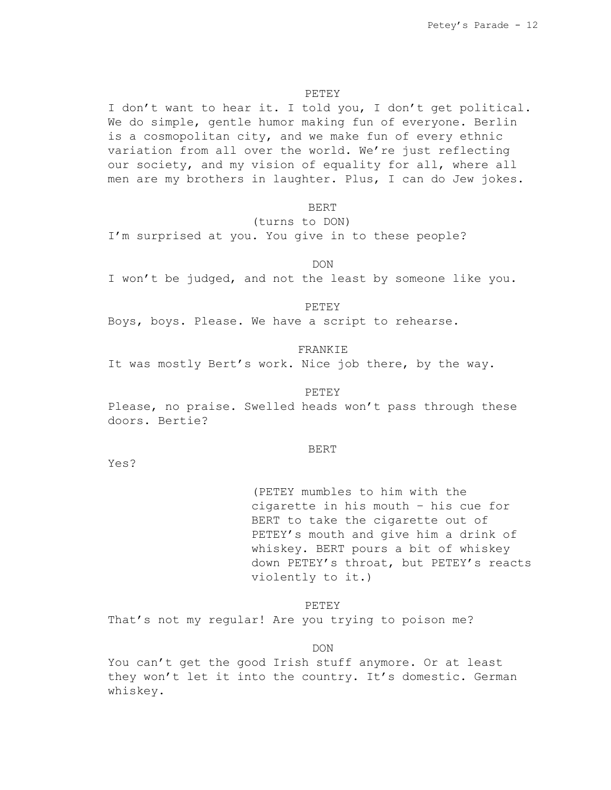### PETEY

I don't want to hear it. I told you, I don't get political. We do simple, gentle humor making fun of everyone. Berlin is a cosmopolitan city, and we make fun of every ethnic variation from all over the world. We're just reflecting our society, and my vision of equality for all, where all men are my brothers in laughter. Plus, I can do Jew jokes.

BERT

(turns to DON)

I'm surprised at you. You give in to these people?

DON

I won't be judged, and not the least by someone like you.

PETEY

Boys, boys. Please. We have a script to rehearse.

# FRANKIE

It was mostly Bert's work. Nice job there, by the way.

#### PETEY

Please, no praise. Swelled heads won't pass through these doors. Bertie?

#### BERT

Yes?

(PETEY mumbles to him with the cigarette in his mouth – his cue for BERT to take the cigarette out of PETEY's mouth and give him a drink of whiskey. BERT pours a bit of whiskey down PETEY's throat, but PETEY's reacts violently to it.)

PETEY

That's not my regular! Are you trying to poison me?

DON

You can't get the good Irish stuff anymore. Or at least they won't let it into the country. It's domestic. German whiskey.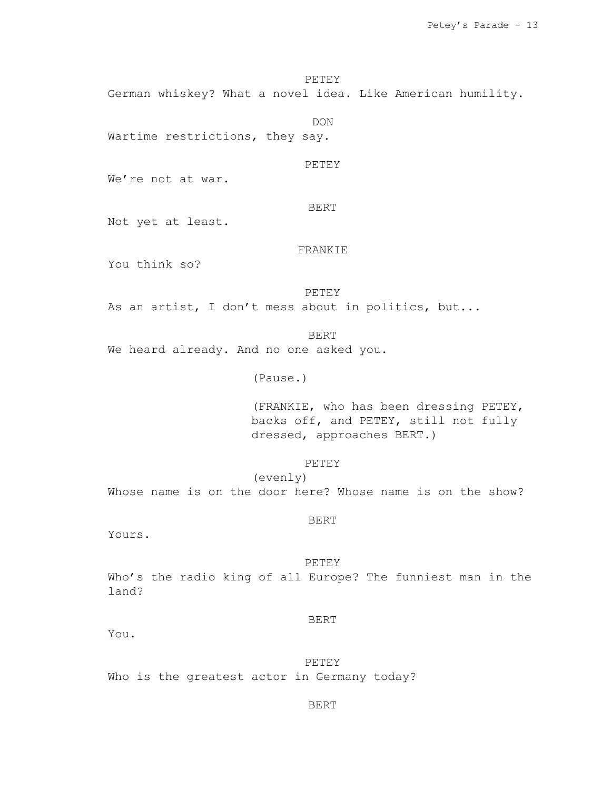PETEY German whiskey? What a novel idea. Like American humility.

Wartime restrictions, they say.

PETEY

DON

We're not at war.

BERT

Not yet at least.

# FRANKIE

You think so?

PETEY

As an artist, I don't mess about in politics, but...

BERT We heard already. And no one asked you.

(Pause.)

(FRANKIE, who has been dressing PETEY, backs off, and PETEY, still not fully dressed, approaches BERT.)

### PETEY

(evenly) Whose name is on the door here? Whose name is on the show?

#### BERT

Yours.

### PETEY

Who's the radio king of all Europe? The funniest man in the land?

### BERT

You.

PETEY Who is the greatest actor in Germany today?

#### BERT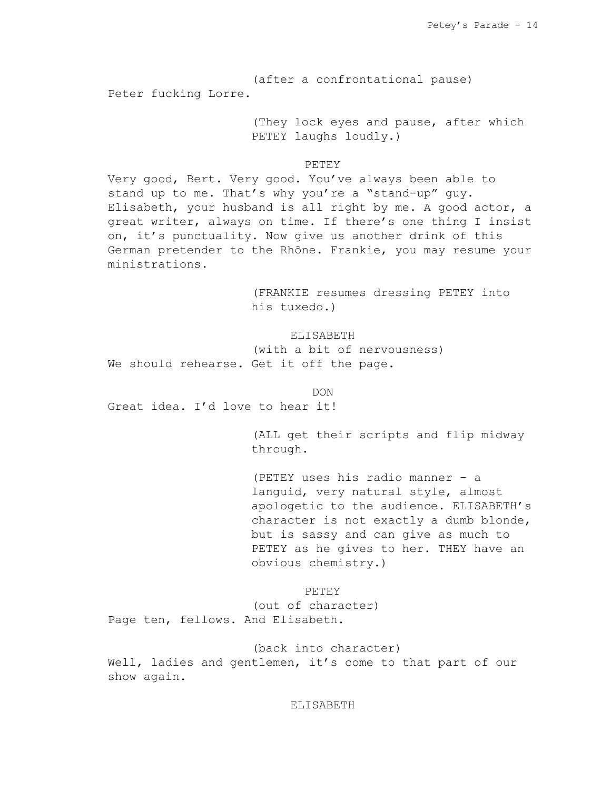(after a confrontational pause) Peter fucking Lorre.

> (They lock eyes and pause, after which PETEY laughs loudly.)

## PETEY

Very good, Bert. Very good. You've always been able to stand up to me. That's why you're a "stand-up" guy. Elisabeth, your husband is all right by me. A good actor, a great writer, always on time. If there's one thing I insist on, it's punctuality. Now give us another drink of this German pretender to the Rhône. Frankie, you may resume your ministrations.

> (FRANKIE resumes dressing PETEY into his tuxedo.)

ELISABETH (with a bit of nervousness) We should rehearse. Get it off the page.

DON Great idea. I'd love to hear it!

> (ALL get their scripts and flip midway through.

(PETEY uses his radio manner – a languid, very natural style, almost apologetic to the audience. ELISABETH's character is not exactly a dumb blonde, but is sassy and can give as much to PETEY as he gives to her. THEY have an obvious chemistry.)

PETEY

(out of character) Page ten, fellows. And Elisabeth.

(back into character) Well, ladies and gentlemen, it's come to that part of our show again.

## ELISABETH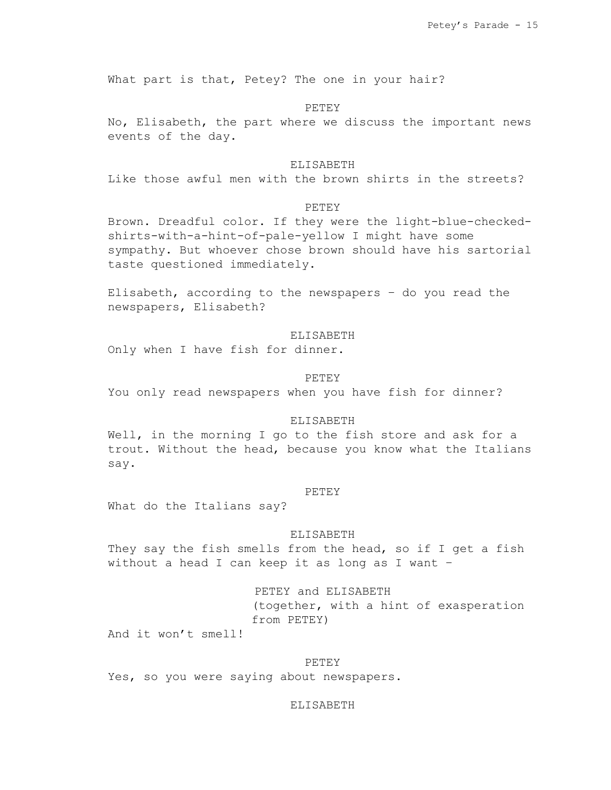What part is that, Petey? The one in your hair?

### PETEY

No, Elisabeth, the part where we discuss the important news events of the day.

# ELISABETH

Like those awful men with the brown shirts in the streets?

### PETEY

Brown. Dreadful color. If they were the light-blue-checkedshirts-with-a-hint-of-pale-yellow I might have some sympathy. But whoever chose brown should have his sartorial taste questioned immediately.

Elisabeth, according to the newspapers – do you read the newspapers, Elisabeth?

# ELISABETH

Only when I have fish for dinner.

### PETEY

You only read newspapers when you have fish for dinner?

## ELISABETH

Well, in the morning I go to the fish store and ask for a trout. Without the head, because you know what the Italians say.

#### PETEY

What do the Italians say?

### ELISABETH

They say the fish smells from the head, so if I get a fish without a head I can keep it as long as I want –

> PETEY and ELISABETH (together, with a hint of exasperation from PETEY)

And it won't smell!

### PETEY

Yes, so you were saying about newspapers.

#### ELISABETH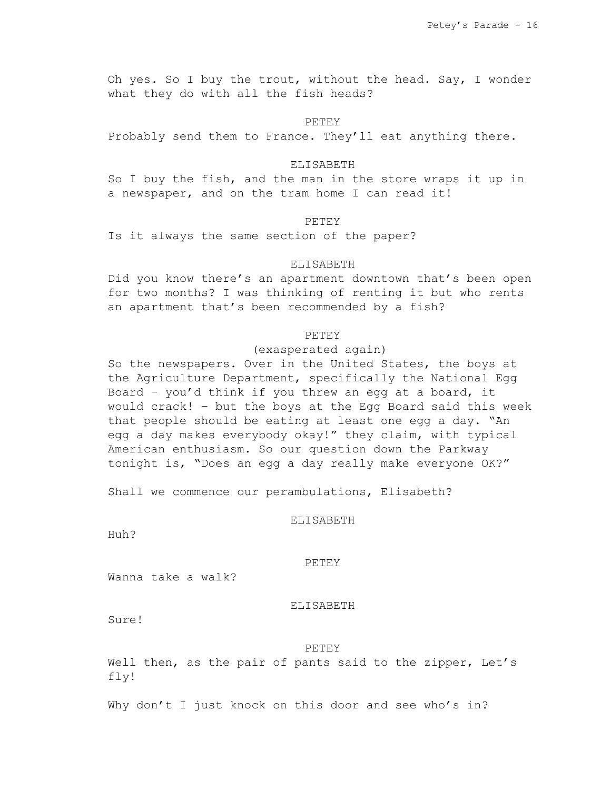Oh yes. So I buy the trout, without the head. Say, I wonder what they do with all the fish heads?

### PETEY

Probably send them to France. They'll eat anything there.

## ELISABETH

So I buy the fish, and the man in the store wraps it up in a newspaper, and on the tram home I can read it!

### **PETEY**

Is it always the same section of the paper?

# ELISABETH

Did you know there's an apartment downtown that's been open for two months? I was thinking of renting it but who rents an apartment that's been recommended by a fish?

# PETEY

(exasperated again)

So the newspapers. Over in the United States, the boys at the Agriculture Department, specifically the National Egg Board – you'd think if you threw an egg at a board, it would crack! – but the boys at the Egg Board said this week that people should be eating at least one egg a day. "An egg a day makes everybody okay!" they claim, with typical American enthusiasm. So our question down the Parkway tonight is, "Does an egg a day really make everyone OK?"

Shall we commence our perambulations, Elisabeth?

### ELISABETH

Huh?

### PETEY

Wanna take a walk?

#### ELISABETH

Sure!

#### PETEY

Well then, as the pair of pants said to the zipper, Let's fly!

Why don't I just knock on this door and see who's in?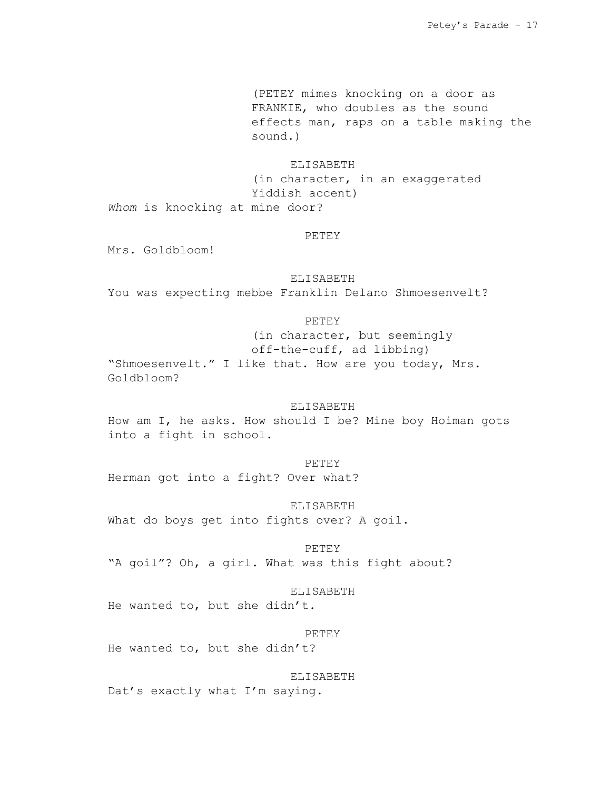(PETEY mimes knocking on a door as FRANKIE, who doubles as the sound effects man, raps on a table making the sound.)

### ELISABETH

(in character, in an exaggerated Yiddish accent) *Whom* is knocking at mine door?

### PETEY

Mrs. Goldbloom!

# ELISABETH You was expecting mebbe Franklin Delano Shmoesenvelt?

## PETEY

(in character, but seemingly off-the-cuff, ad libbing) "Shmoesenvelt." I like that. How are you today, Mrs. Goldbloom?

## ELISABETH

How am I, he asks. How should I be? Mine boy Hoiman gots into a fight in school.

### PETEY

Herman got into a fight? Over what?

ELISABETH What do boys get into fights over? A goil.

PETEY "A goil"? Oh, a girl. What was this fight about?

#### ELISABETH

He wanted to, but she didn't.

#### PETEY

He wanted to, but she didn't?

# ELISABETH

Dat's exactly what I'm saying.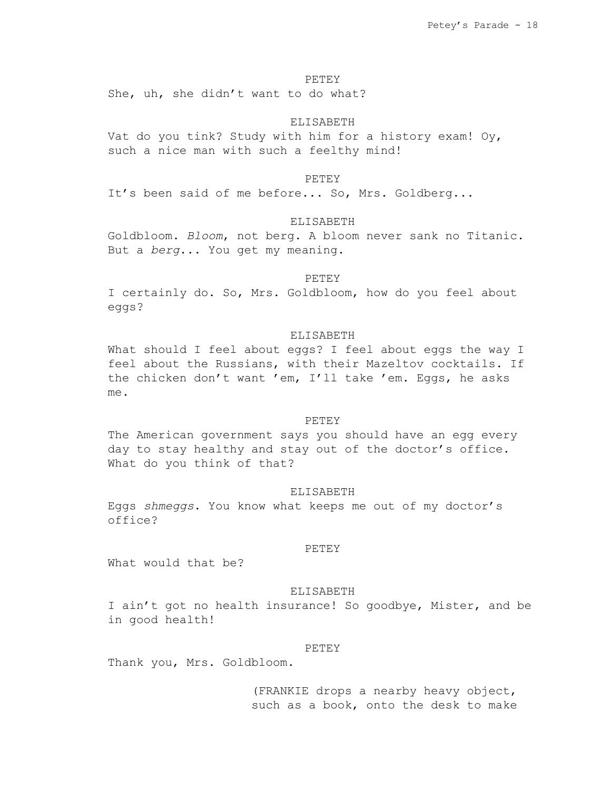#### PETEY

She, uh, she didn't want to do what?

### ELISABETH

Vat do you tink? Study with him for a history exam! Oy, such a nice man with such a feelthy mind!

#### PETEY

It's been said of me before... So, Mrs. Goldberg...

### ELISABETH

Goldbloom. *Bloom*, not berg. A bloom never sank no Titanic. But a *berg*... You get my meaning.

### **PETEY**

I certainly do. So, Mrs. Goldbloom, how do you feel about eggs?

### ELISABETH

What should I feel about eggs? I feel about eggs the way I feel about the Russians, with their Mazeltov cocktails. If the chicken don't want 'em, I'll take 'em. Eggs, he asks me.

#### PETEY

The American government says you should have an egg every day to stay healthy and stay out of the doctor's office. What do you think of that?

#### ELISABETH

Eggs *shmeggs*. You know what keeps me out of my doctor's office?

### PETEY

What would that be?

### ELISABETH

I ain't got no health insurance! So goodbye, Mister, and be in good health!

### PETEY

Thank you, Mrs. Goldbloom.

(FRANKIE drops a nearby heavy object, such as a book, onto the desk to make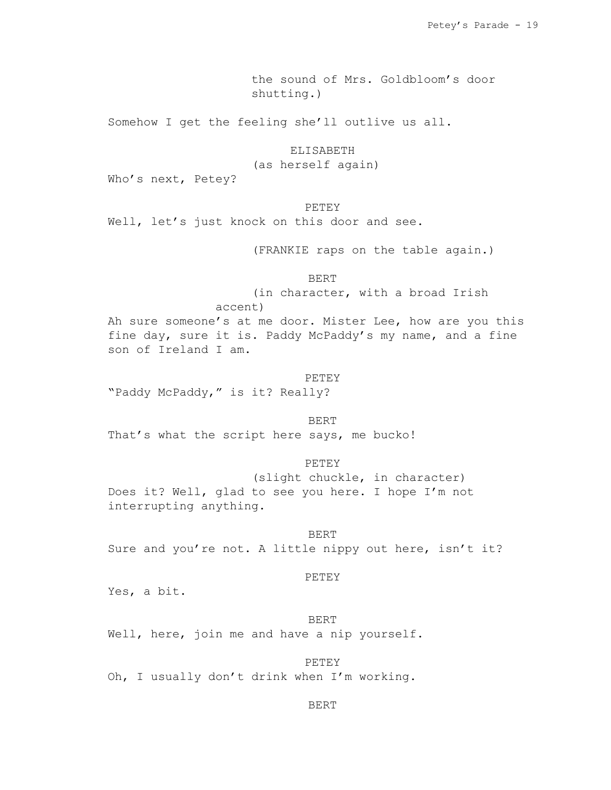the sound of Mrs. Goldbloom's door shutting.)

Somehow I get the feeling she'll outlive us all.

ELISABETH

(as herself again)

Who's next, Petey?

# PETEY

Well, let's just knock on this door and see.

(FRANKIE raps on the table again.)

BERT

(in character, with a broad Irish

accent)

Ah sure someone's at me door. Mister Lee, how are you this fine day, sure it is. Paddy McPaddy's my name, and a fine son of Ireland I am.

#### PETEY

"Paddy McPaddy," is it? Really?

#### BERT

That's what the script here says, me bucko!

# PETEY

(slight chuckle, in character) Does it? Well, glad to see you here. I hope I'm not interrupting anything.

BERT Sure and you're not. A little nippy out here, isn't it?

# PETEY

Yes, a bit.

# BERT

Well, here, join me and have a nip yourself.

# PETEY

Oh, I usually don't drink when I'm working.

### BERT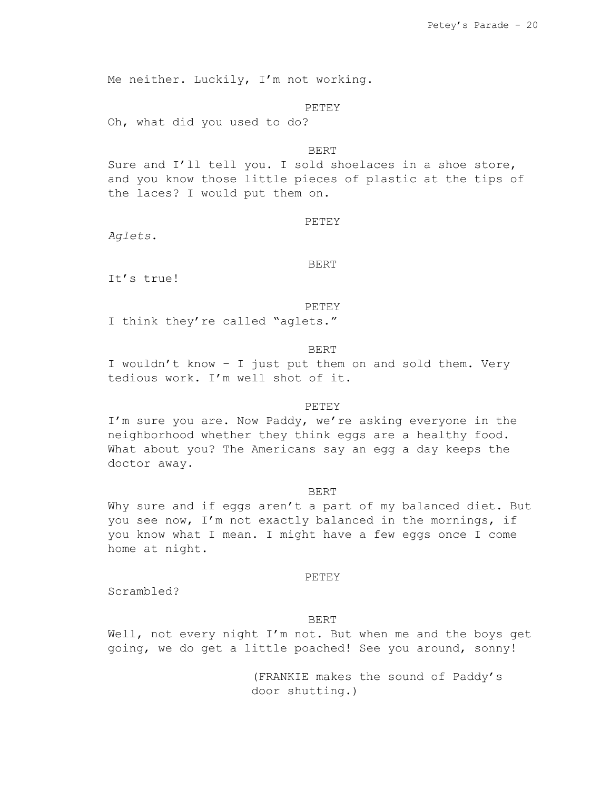Me neither. Luckily, I'm not working.

PETEY

Oh, what did you used to do?

BERT

Sure and I'll tell you. I sold shoelaces in a shoe store, and you know those little pieces of plastic at the tips of the laces? I would put them on.

### **PETEY**

*Aglets*.

BERT

It's true!

PETEY

I think they're called "aglets."

BERT

I wouldn't know – I just put them on and sold them. Very tedious work. I'm well shot of it.

# PETEY

I'm sure you are. Now Paddy, we're asking everyone in the neighborhood whether they think eggs are a healthy food. What about you? The Americans say an egg a day keeps the doctor away.

#### BERT

Why sure and if eggs aren't a part of my balanced diet. But you see now, I'm not exactly balanced in the mornings, if you know what I mean. I might have a few eggs once I come home at night.

### PETEY

Scrambled?

# BERT

Well, not every night I'm not. But when me and the boys get going, we do get a little poached! See you around, sonny!

> (FRANKIE makes the sound of Paddy's door shutting.)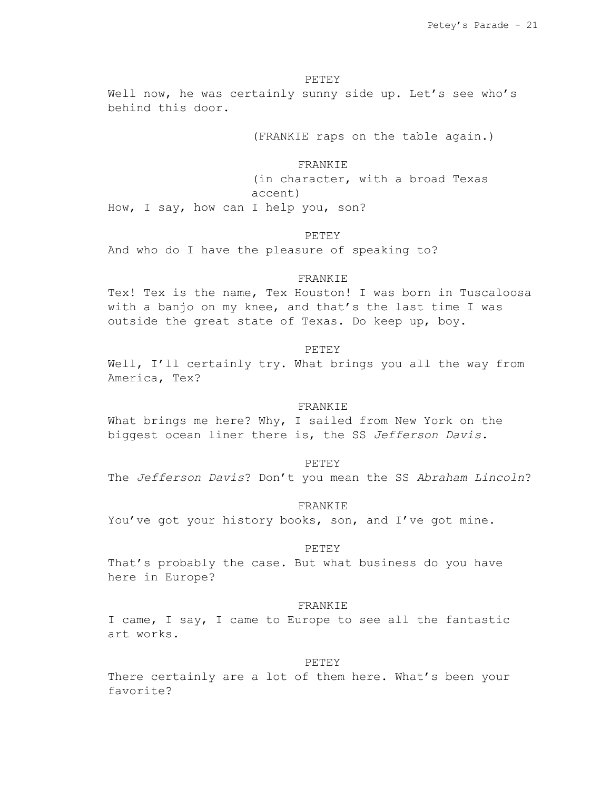### PETEY

Well now, he was certainly sunny side up. Let's see who's behind this door.

(FRANKIE raps on the table again.)

### FRANKIE

(in character, with a broad Texas accent) How, I say, how can I help you, son?

## PETEY

And who do I have the pleasure of speaking to?

#### FRANKIE

Tex! Tex is the name, Tex Houston! I was born in Tuscaloosa with a banjo on my knee, and that's the last time I was outside the great state of Texas. Do keep up, boy.

### PETEY

Well, I'll certainly try. What brings you all the way from America, Tex?

## FRANKIE

What brings me here? Why, I sailed from New York on the biggest ocean liner there is, the SS *Jefferson Davis*.

#### PETEY

The *Jefferson Davis*? Don't you mean the SS *Abraham Lincoln*?

FRANKIE

You've got your history books, son, and I've got mine.

# PETEY

That's probably the case. But what business do you have here in Europe?

#### FRANKIE

I came, I say, I came to Europe to see all the fantastic art works.

#### PETEY

There certainly are a lot of them here. What's been your favorite?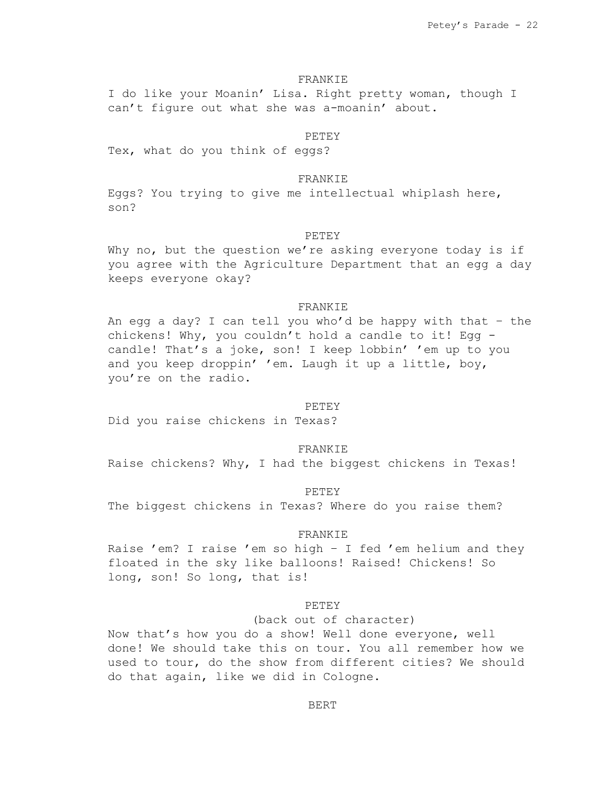### FRANKIE

I do like your Moanin' Lisa. Right pretty woman, though I can't figure out what she was a-moanin' about.

#### PETEY

Tex, what do you think of eggs?

### FRANKIE

Eggs? You trying to give me intellectual whiplash here, son?

## **PETEY**

Why no, but the question we're asking everyone today is if you agree with the Agriculture Department that an egg a day keeps everyone okay?

### FRANKIE

An egg a day? I can tell you who'd be happy with that – the chickens! Why, you couldn't hold a candle to it! Egg candle! That's a joke, son! I keep lobbin' 'em up to you and you keep droppin' 'em. Laugh it up a little, boy, you're on the radio.

## PETEY

Did you raise chickens in Texas?

### FRANKIE

Raise chickens? Why, I had the biggest chickens in Texas!

#### PETEY

The biggest chickens in Texas? Where do you raise them?

#### FRANKIE

Raise 'em? I raise 'em so high – I fed 'em helium and they floated in the sky like balloons! Raised! Chickens! So long, son! So long, that is!

### PETEY

(back out of character)

Now that's how you do a show! Well done everyone, well done! We should take this on tour. You all remember how we used to tour, do the show from different cities? We should do that again, like we did in Cologne.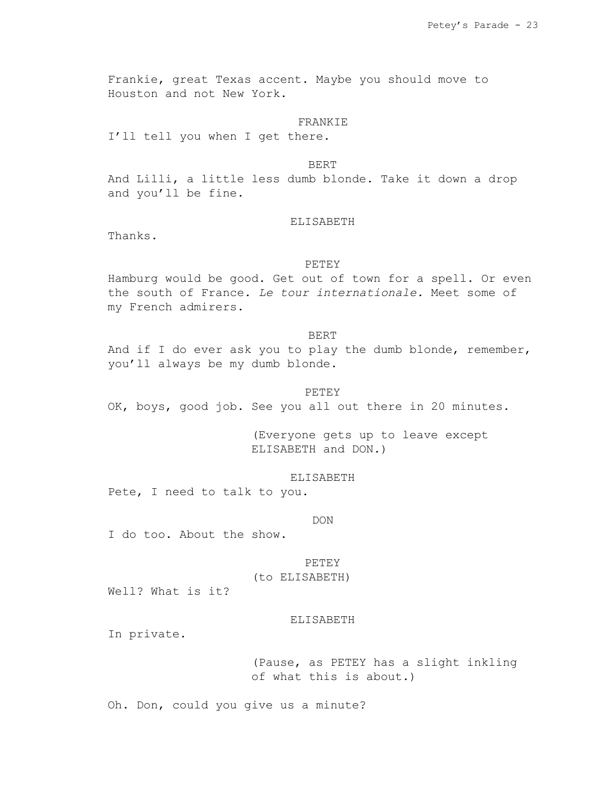Frankie, great Texas accent. Maybe you should move to Houston and not New York.

# FRANKIE

I'll tell you when I get there.

# BERT

And Lilli, a little less dumb blonde. Take it down a drop and you'll be fine.

#### ELISABETH

Thanks.

# PETEY

Hamburg would be good. Get out of town for a spell. Or even the south of France. *Le tour internationale.* Meet some of my French admirers.

# BERT

And if I do ever ask you to play the dumb blonde, remember, you'll always be my dumb blonde.

#### PETEY

OK, boys, good job. See you all out there in 20 minutes.

(Everyone gets up to leave except ELISABETH and DON.)

# ELISABETH

Pete, I need to talk to you.

#### DON

I do too. About the show.

### PETEY

(to ELISABETH)

Well? What is it?

# ELISABETH

In private.

(Pause, as PETEY has a slight inkling of what this is about.)

Oh. Don, could you give us a minute?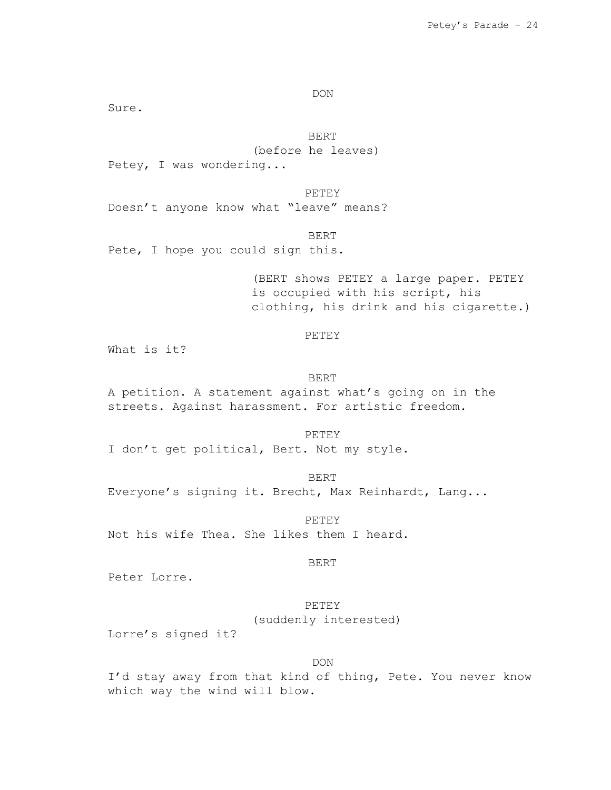DON

Sure.

BERT

(before he leaves)

Petey, I was wondering...

PETEY Doesn't anyone know what "leave" means?

BERT

Pete, I hope you could sign this.

(BERT shows PETEY a large paper. PETEY is occupied with his script, his clothing, his drink and his cigarette.)

# PETEY

What is it?

#### BERT

A petition. A statement against what's going on in the streets. Against harassment. For artistic freedom.

PETEY

I don't get political, Bert. Not my style.

BERT Everyone's signing it. Brecht, Max Reinhardt, Lang...

PETEY Not his wife Thea. She likes them I heard.

### BERT

Peter Lorre.

# PETEY (suddenly interested)

Lorre's signed it?

DON

I'd stay away from that kind of thing, Pete. You never know which way the wind will blow.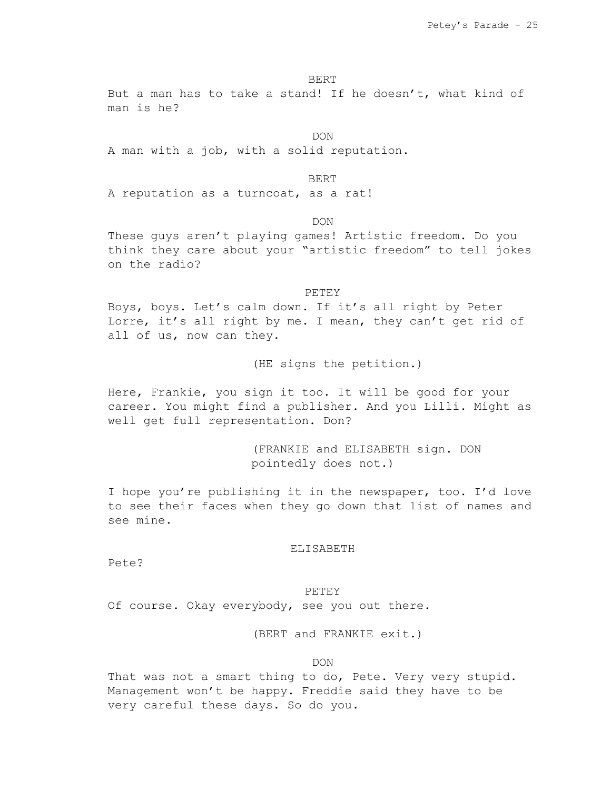BERT

But a man has to take a stand! If he doesn't, what kind of man is he?

DON

A man with a job, with a solid reputation.

BERT

A reputation as a turncoat, as a rat!

DON

These guys aren't playing games! Artistic freedom. Do you think they care about your "artistic freedom" to tell jokes on the radio?

PETEY

Boys, boys. Let's calm down. If it's all right by Peter Lorre, it's all right by me. I mean, they can't get rid of all of us, now can they.

(HE signs the petition.)

Here, Frankie, you sign it too. It will be good for your career. You might find a publisher. And you Lilli. Might as well get full representation. Don?

> (FRANKIE and ELISABETH sign. DON pointedly does not.)

I hope you're publishing it in the newspaper, too. I'd love to see their faces when they go down that list of names and see mine.

### ELISABETH

Pete?

PETEY

Of course. Okay everybody, see you out there.

(BERT and FRANKIE exit.)

DON

That was not a smart thing to do, Pete. Very very stupid. Management won't be happy. Freddie said they have to be very careful these days. So do you.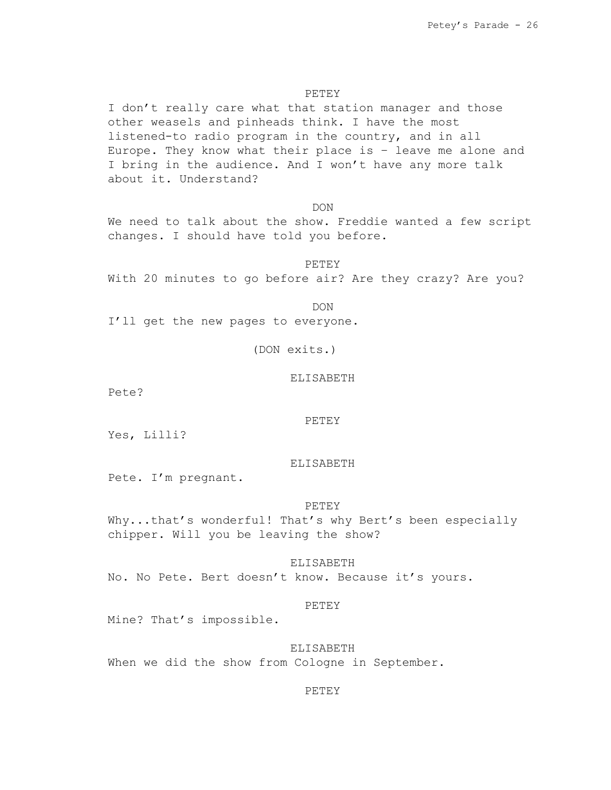# PETEY

I don't really care what that station manager and those other weasels and pinheads think. I have the most listened-to radio program in the country, and in all Europe. They know what their place is – leave me alone and I bring in the audience. And I won't have any more talk about it. Understand?

DON

We need to talk about the show. Freddie wanted a few script changes. I should have told you before.

PETEY

With 20 minutes to go before air? Are they crazy? Are you?

DON

I'll get the new pages to everyone.

(DON exits.)

### ELISABETH

Pete?

#### PETEY

Yes, Lilli?

### ELISABETH

Pete. I'm pregnant.

## PETEY

Why...that's wonderful! That's why Bert's been especially chipper. Will you be leaving the show?

ELISABETH No. No Pete. Bert doesn't know. Because it's yours.

#### PETEY

Mine? That's impossible.

# ELISABETH

When we did the show from Cologne in September.

### PETEY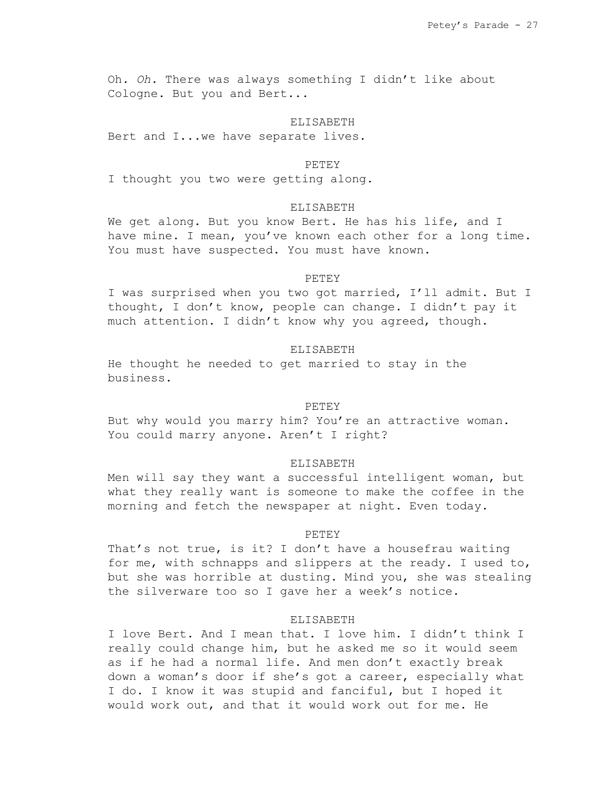Oh. *Oh.* There was always something I didn't like about Cologne. But you and Bert...

#### ELISABETH

Bert and I...we have separate lives.

#### PETEY

I thought you two were getting along.

### ELISABETH

We get along. But you know Bert. He has his life, and I have mine. I mean, you've known each other for a long time. You must have suspected. You must have known.

#### PETEY

I was surprised when you two got married, I'll admit. But I thought, I don't know, people can change. I didn't pay it much attention. I didn't know why you agreed, though.

### ELISABETH

He thought he needed to get married to stay in the business.

# PETEY

But why would you marry him? You're an attractive woman. You could marry anyone. Aren't I right?

#### ELISABETH

Men will say they want a successful intelligent woman, but what they really want is someone to make the coffee in the morning and fetch the newspaper at night. Even today.

### PETEY

That's not true, is it? I don't have a housefrau waiting for me, with schnapps and slippers at the ready. I used to, but she was horrible at dusting. Mind you, she was stealing the silverware too so I gave her a week's notice.

### ELISABETH

I love Bert. And I mean that. I love him. I didn't think I really could change him, but he asked me so it would seem as if he had a normal life. And men don't exactly break down a woman's door if she's got a career, especially what I do. I know it was stupid and fanciful, but I hoped it would work out, and that it would work out for me. He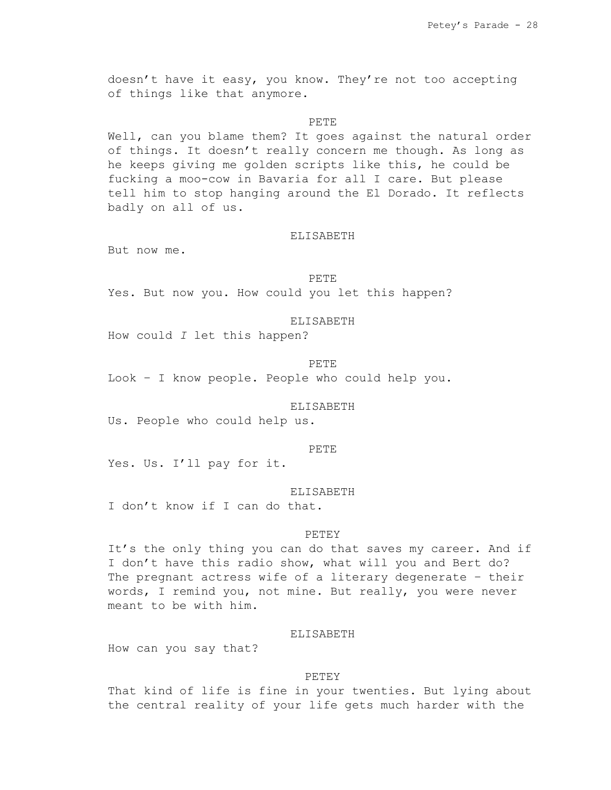doesn't have it easy, you know. They're not too accepting of things like that anymore.

#### PETE

Well, can you blame them? It goes against the natural order of things. It doesn't really concern me though. As long as he keeps giving me golden scripts like this, he could be fucking a moo-cow in Bavaria for all I care. But please tell him to stop hanging around the El Dorado. It reflects badly on all of us.

### ELISABETH

But now me.

#### PETE

Yes. But now you. How could you let this happen?

### ELISABETH

How could *I* let this happen?

#### PETE

Look – I know people. People who could help you.

# ELISABETH

Us. People who could help us.

### PETE

Yes. Us. I'll pay for it.

#### ELISABETH

I don't know if I can do that.

### PETEY

It's the only thing you can do that saves my career. And if I don't have this radio show, what will you and Bert do? The pregnant actress wife of a literary degenerate – their words, I remind you, not mine. But really, you were never meant to be with him.

#### ELISABETH

How can you say that?

#### PETEY

That kind of life is fine in your twenties. But lying about the central reality of your life gets much harder with the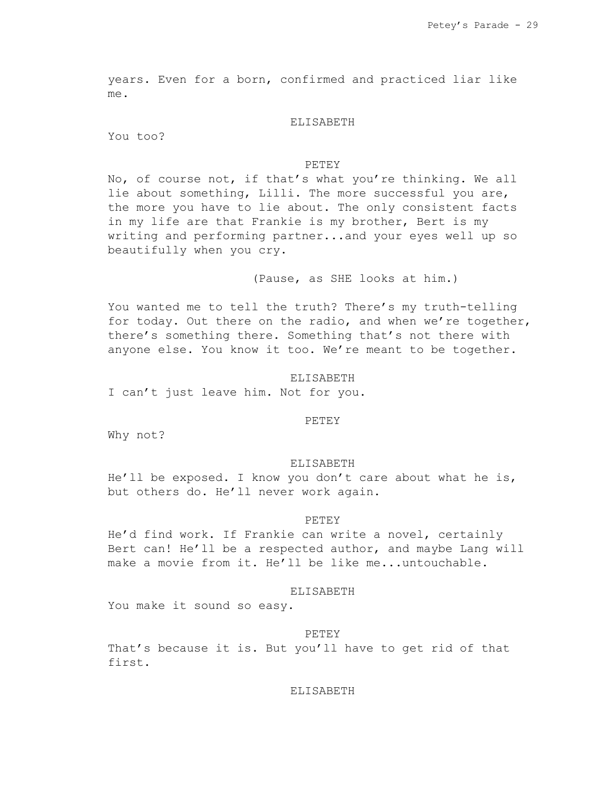years. Even for a born, confirmed and practiced liar like me.

### ELISABETH

You too?

### PETEY

No, of course not, if that's what you're thinking. We all lie about something, Lilli. The more successful you are, the more you have to lie about. The only consistent facts in my life are that Frankie is my brother, Bert is my writing and performing partner...and your eyes well up so beautifully when you cry.

(Pause, as SHE looks at him.)

You wanted me to tell the truth? There's my truth-telling for today. Out there on the radio, and when we're together, there's something there. Something that's not there with anyone else. You know it too. We're meant to be together.

### ELISABETH

I can't just leave him. Not for you.

#### PETEY

Why not?

#### ELISABETH

He'll be exposed. I know you don't care about what he is, but others do. He'll never work again.

#### **PETEY**

He'd find work. If Frankie can write a novel, certainly Bert can! He'll be a respected author, and maybe Lang will make a movie from it. He'll be like me...untouchable.

#### ELISABETH

You make it sound so easy.

#### PETEY

That's because it is. But you'll have to get rid of that first.

# ELISABETH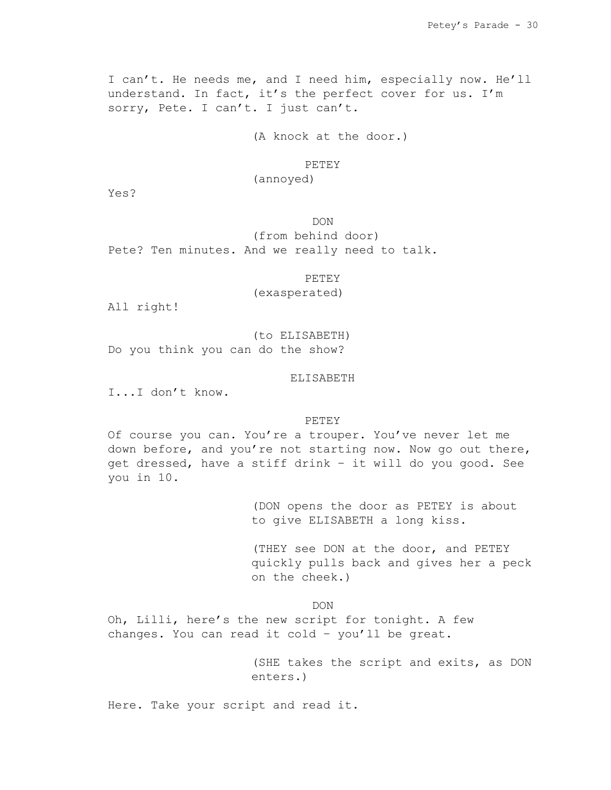I can't. He needs me, and I need him, especially now. He'll understand. In fact, it's the perfect cover for us. I'm sorry, Pete. I can't. I just can't.

(A knock at the door.)

# PETEY

# (annoyed)

Yes?

DON (from behind door)

Pete? Ten minutes. And we really need to talk.

PETEY

(exasperated)

All right!

(to ELISABETH) Do you think you can do the show?

### ELISABETH

I...I don't know.

PETEY

Of course you can. You're a trouper. You've never let me down before, and you're not starting now. Now go out there, get dressed, have a stiff drink – it will do you good. See you in 10.

> (DON opens the door as PETEY is about to give ELISABETH a long kiss.

(THEY see DON at the door, and PETEY quickly pulls back and gives her a peck on the cheek.)

DON

Oh, Lilli, here's the new script for tonight. A few changes. You can read it cold – you'll be great.

> (SHE takes the script and exits, as DON enters.)

Here. Take your script and read it.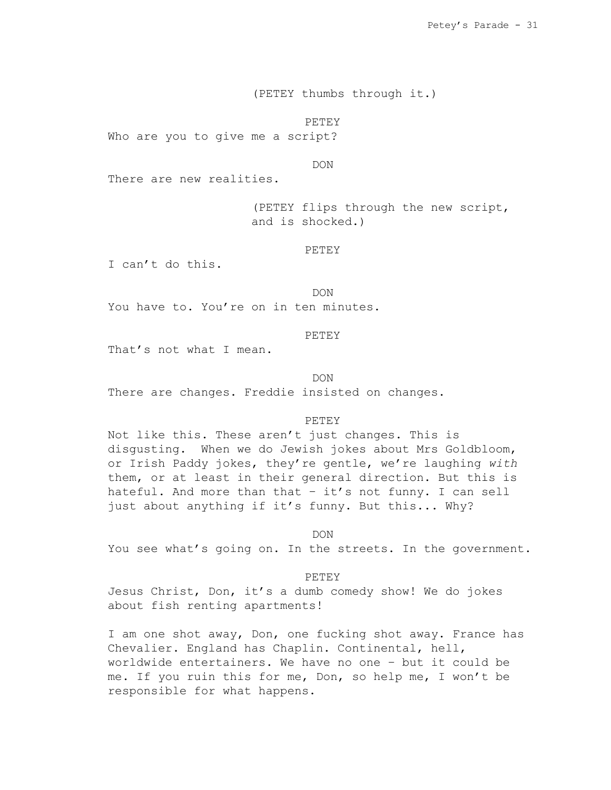(PETEY thumbs through it.)

PETEY

Who are you to give me a script?

DON

There are new realities.

(PETEY flips through the new script, and is shocked.)

PETEY

I can't do this.

DON

You have to. You're on in ten minutes.

## PETEY

That's not what I mean.

DON

There are changes. Freddie insisted on changes.

#### PETEY

Not like this. These aren't just changes. This is disgusting. When we do Jewish jokes about Mrs Goldbloom, or Irish Paddy jokes, they're gentle, we're laughing *with* them, or at least in their general direction. But this is hateful. And more than that – it's not funny. I can sell just about anything if it's funny. But this... Why?

DON

You see what's going on. In the streets. In the government.

PETEY

Jesus Christ, Don, it's a dumb comedy show! We do jokes about fish renting apartments!

I am one shot away, Don, one fucking shot away. France has Chevalier. England has Chaplin. Continental, hell, worldwide entertainers. We have no one – but it could be me. If you ruin this for me, Don, so help me, I won't be responsible for what happens.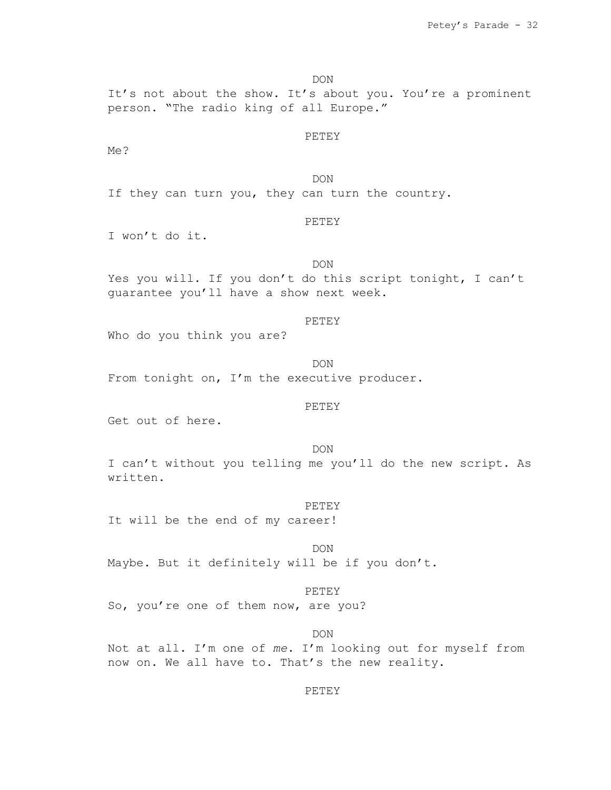DON

It's not about the show. It's about you. You're a prominent person. "The radio king of all Europe."

#### PETEY

Me?

DON If they can turn you, they can turn the country.

## PETEY

I won't do it.

# DON

Yes you will. If you don't do this script tonight, I can't guarantee you'll have a show next week.

### PETEY

Who do you think you are?

DON

From tonight on, I'm the executive producer.

## PETEY

Get out of here.

DON

I can't without you telling me you'll do the new script. As written.

PETEY

It will be the end of my career!

DON Maybe. But it definitely will be if you don't.

## PETEY

So, you're one of them now, are you?

DON

Not at all. I'm one of *me*. I'm looking out for myself from now on. We all have to. That's the new reality.

# PETEY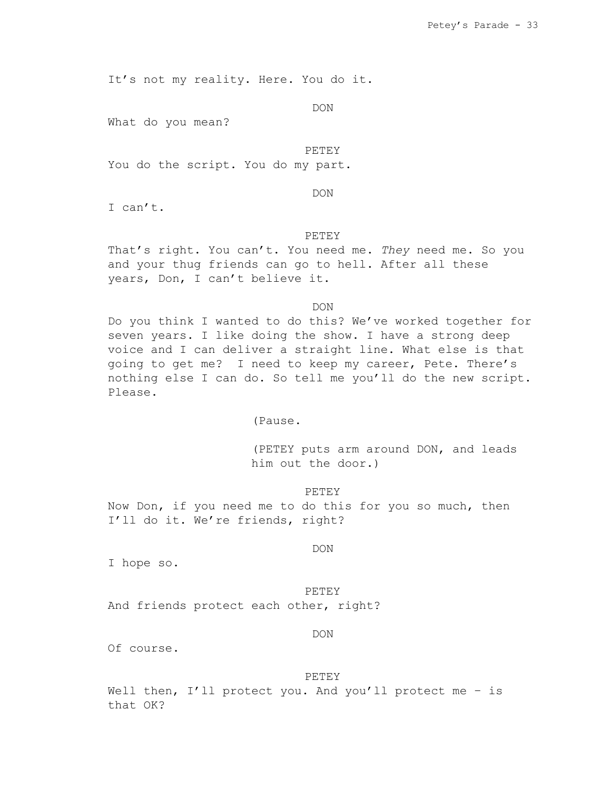It's not my reality. Here. You do it.

DON

What do you mean?

#### PETEY

You do the script. You do my part.

DON

I can't.

# PETEY

That's right. You can't. You need me. *They* need me. So you and your thug friends can go to hell. After all these years, Don, I can't believe it.

DON

Do you think I wanted to do this? We've worked together for seven years. I like doing the show. I have a strong deep voice and I can deliver a straight line. What else is that going to get me? I need to keep my career, Pete. There's nothing else I can do. So tell me you'll do the new script. Please.

(Pause.

(PETEY puts arm around DON, and leads him out the door.)

PETEY

Now Don, if you need me to do this for you so much, then I'll do it. We're friends, right?

### DON

I hope so.

### PETEY

And friends protect each other, right?

#### DON

Of course.

#### PETEY

Well then, I'll protect you. And you'll protect me - is that OK?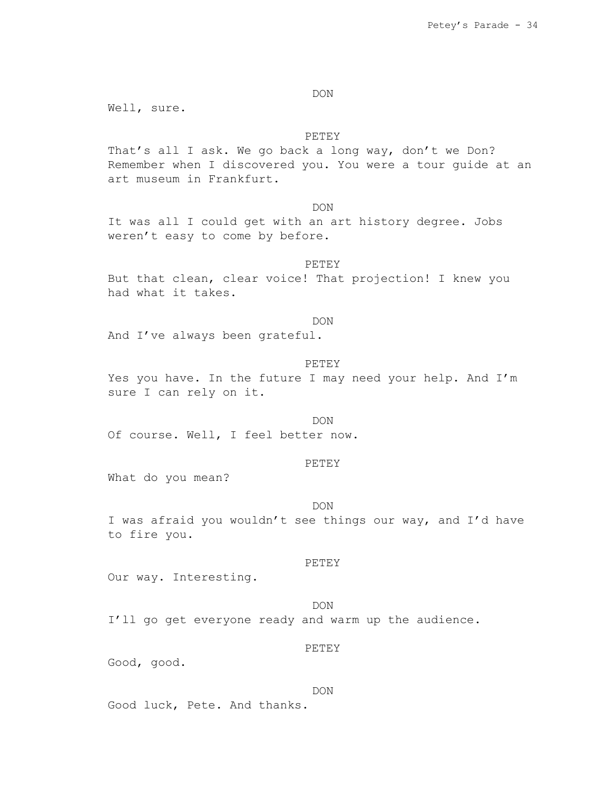DON

Well, sure.

# PETEY

That's all I ask. We go back a long way, don't we Don? Remember when I discovered you. You were a tour guide at an art museum in Frankfurt.

DON

It was all I could get with an art history degree. Jobs weren't easy to come by before.

### PETEY

But that clean, clear voice! That projection! I knew you had what it takes.

#### DON

And I've always been grateful.

#### PETEY

Yes you have. In the future I may need your help. And I'm sure I can rely on it.

#### DON

Of course. Well, I feel better now.

#### PETEY

What do you mean?

#### DON

I was afraid you wouldn't see things our way, and I'd have to fire you.

### PETEY

Our way. Interesting.

# DON

I'll go get everyone ready and warm up the audience.

# PETEY

Good, good.

#### DON

Good luck, Pete. And thanks.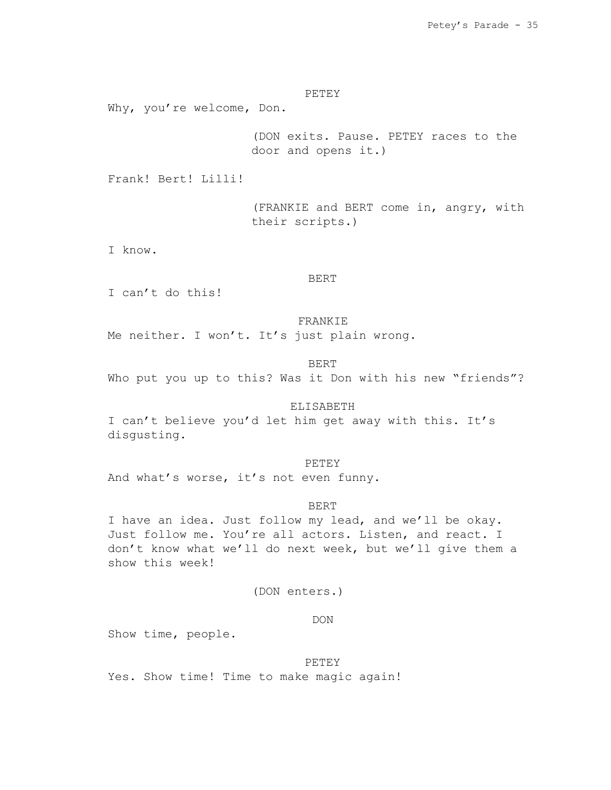PETEY

Why, you're welcome, Don.

(DON exits. Pause. PETEY races to the door and opens it.)

Frank! Bert! Lilli!

(FRANKIE and BERT come in, angry, with their scripts.)

I know.

# BERT

I can't do this!

#### FRANKIE

Me neither. I won't. It's just plain wrong.

### BERT

Who put you up to this? Was it Don with his new "friends"?

# ELISABETH

I can't believe you'd let him get away with this. It's disgusting.

#### PETEY

And what's worse, it's not even funny.

### BERT

I have an idea. Just follow my lead, and we'll be okay. Just follow me. You're all actors. Listen, and react. I don't know what we'll do next week, but we'll give them a show this week!

# (DON enters.)

# DON

Show time, people.

## PETEY

Yes. Show time! Time to make magic again!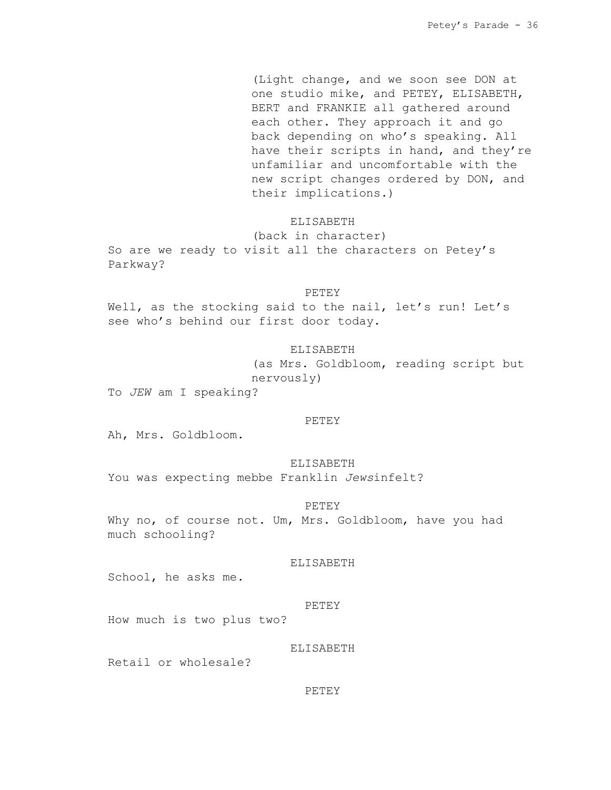(Light change, and we soon see DON at one studio mike, and PETEY, ELISABETH, BERT and FRANKIE all gathered around each other. They approach it and go back depending on who's speaking. All have their scripts in hand, and they're unfamiliar and uncomfortable with the new script changes ordered by DON, and their implications.)

### ELISABETH

(back in character) So are we ready to visit all the characters on Petey's Parkway?

#### PETEY

Well, as the stocking said to the nail, let's run! Let's see who's behind our first door today.

# ELISABETH

(as Mrs. Goldbloom, reading script but nervously)

To *JEW* am I speaking?

#### PETEY

Ah, Mrs. Goldbloom.

#### ELISABETH

You was expecting mebbe Franklin *Jews*infelt?

# PETEY

Why no, of course not. Um, Mrs. Goldbloom, have you had much schooling?

#### ELISABETH

School, he asks me.

#### PETEY

How much is two plus two?

# ELISABETH

Retail or wholesale?

# PETEY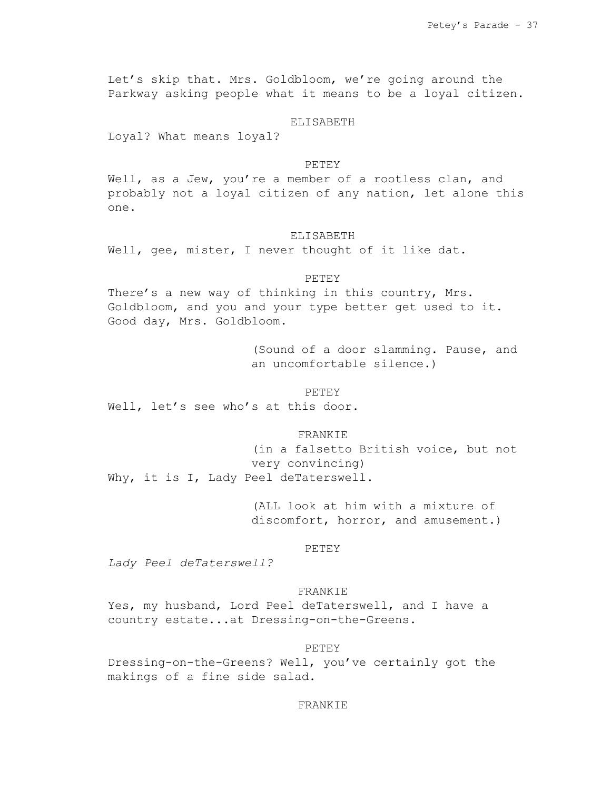Let's skip that. Mrs. Goldbloom, we're going around the Parkway asking people what it means to be a loyal citizen.

# ELISABETH

Loyal? What means loyal?

# PETEY

Well, as a Jew, you're a member of a rootless clan, and probably not a loyal citizen of any nation, let alone this one.

# ELISABETH

Well, gee, mister, I never thought of it like dat.

### PETEY

There's a new way of thinking in this country, Mrs. Goldbloom, and you and your type better get used to it. Good day, Mrs. Goldbloom.

> (Sound of a door slamming. Pause, and an uncomfortable silence.)

#### PETEY

Well, let's see who's at this door.

### FRANKIE

(in a falsetto British voice, but not very convincing) Why, it is I, Lady Peel deTaterswell.

> (ALL look at him with a mixture of discomfort, horror, and amusement.)

## PETEY

*Lady Peel deTaterswell?*

# FRANKIE

Yes, my husband, Lord Peel deTaterswell, and I have a country estate...at Dressing-on-the-Greens.

## PETEY

Dressing-on-the-Greens? Well, you've certainly got the makings of a fine side salad.

### FRANKIE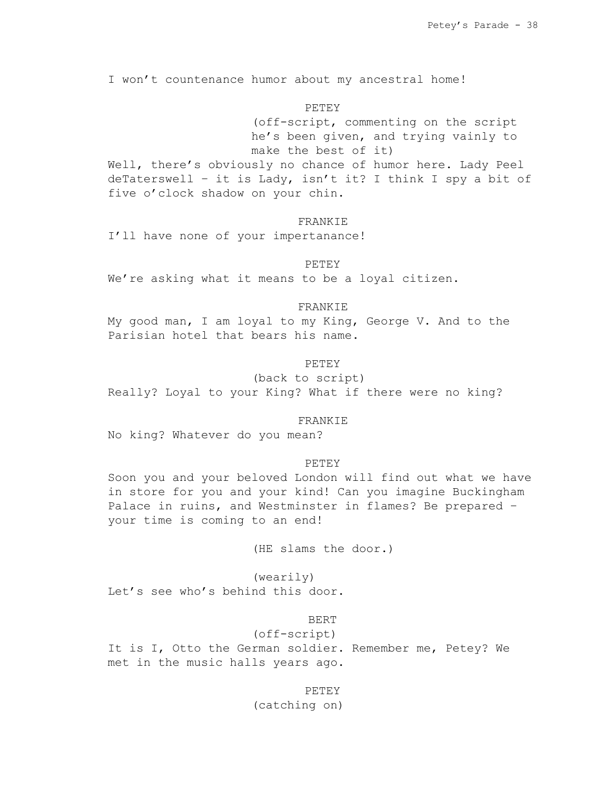I won't countenance humor about my ancestral home!

# PETEY

(off-script, commenting on the script he's been given, and trying vainly to make the best of it)

Well, there's obviously no chance of humor here. Lady Peel deTaterswell – it is Lady, isn't it? I think I spy a bit of five o'clock shadow on your chin.

# **FRANKIE**

I'll have none of your impertanance!

PETEY

We're asking what it means to be a loyal citizen.

# FRANKIE

My good man, I am loyal to my King, George V. And to the Parisian hotel that bears his name.

### PETEY

(back to script) Really? Loyal to your King? What if there were no king?

### FRANKIE

No king? Whatever do you mean?

### **PETEY**

Soon you and your beloved London will find out what we have in store for you and your kind! Can you imagine Buckingham Palace in ruins, and Westminster in flames? Be prepared – your time is coming to an end!

(HE slams the door.)

(wearily) Let's see who's behind this door.

# BERT

(off-script)

It is I, Otto the German soldier. Remember me, Petey? We met in the music halls years ago.

### PETEY

(catching on)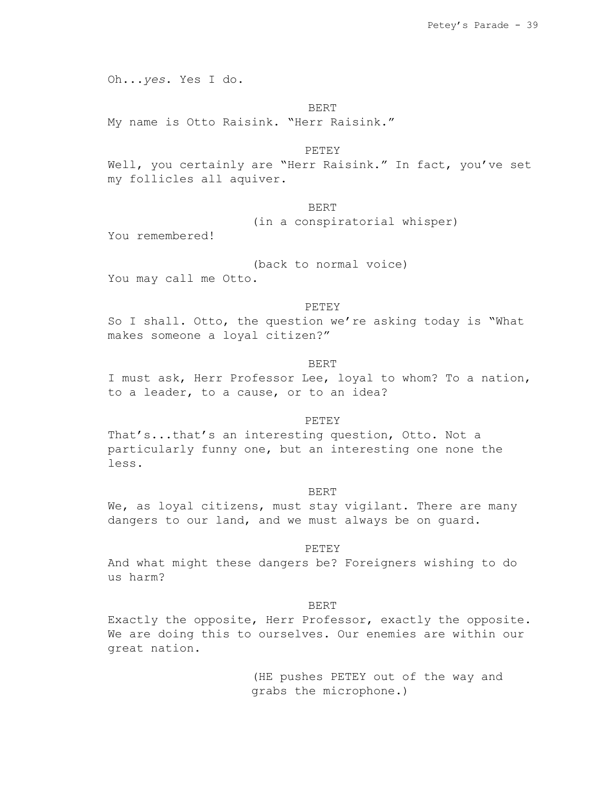Oh...*yes*. Yes I do.

### BERT

My name is Otto Raisink. "Herr Raisink."

**PETEY** 

Well, you certainly are "Herr Raisink." In fact, you've set my follicles all aquiver.

BERT

(in a conspiratorial whisper)

You remembered!

(back to normal voice)

You may call me Otto.

### PETEY

So I shall. Otto, the question we're asking today is "What makes someone a loyal citizen?"

## BERT

I must ask, Herr Professor Lee, loyal to whom? To a nation, to a leader, to a cause, or to an idea?

#### PETEY

That's...that's an interesting question, Otto. Not a particularly funny one, but an interesting one none the less.

#### BERT

We, as loyal citizens, must stay vigilant. There are many dangers to our land, and we must always be on guard.

# PETEY

And what might these dangers be? Foreigners wishing to do us harm?

BERT

Exactly the opposite, Herr Professor, exactly the opposite. We are doing this to ourselves. Our enemies are within our great nation.

> (HE pushes PETEY out of the way and grabs the microphone.)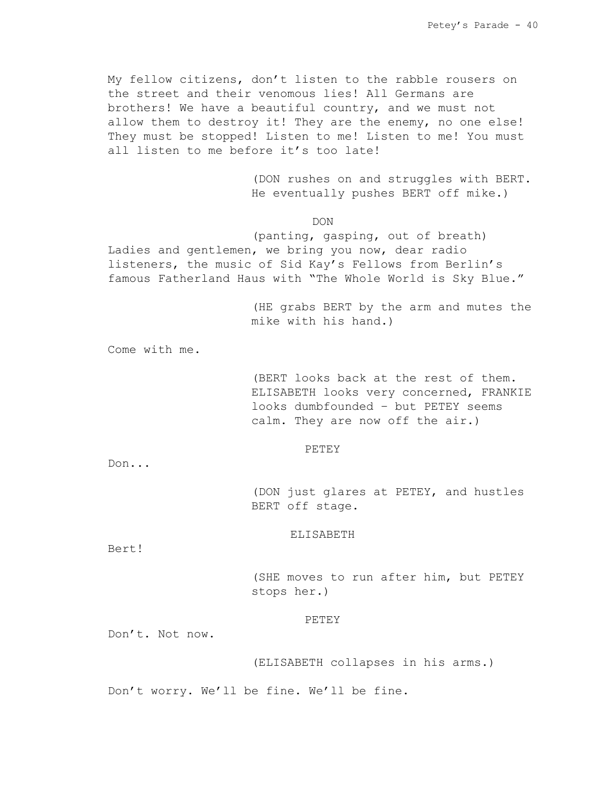My fellow citizens, don't listen to the rabble rousers on the street and their venomous lies! All Germans are brothers! We have a beautiful country, and we must not allow them to destroy it! They are the enemy, no one else! They must be stopped! Listen to me! Listen to me! You must all listen to me before it's too late!

> (DON rushes on and struggles with BERT. He eventually pushes BERT off mike.)

> > DON

(panting, gasping, out of breath) Ladies and gentlemen, we bring you now, dear radio listeners, the music of Sid Kay's Fellows from Berlin's famous Fatherland Haus with "The Whole World is Sky Blue."

> (HE grabs BERT by the arm and mutes the mike with his hand.)

Come with me.

(BERT looks back at the rest of them. ELISABETH looks very concerned, FRANKIE looks dumbfounded – but PETEY seems calm. They are now off the air.)

#### PETEY

Don...

(DON just glares at PETEY, and hustles BERT off stage.

### ELISABETH

Bert!

(SHE moves to run after him, but PETEY stops her.)

### PETEY

Don't. Not now.

(ELISABETH collapses in his arms.)

Don't worry. We'll be fine. We'll be fine.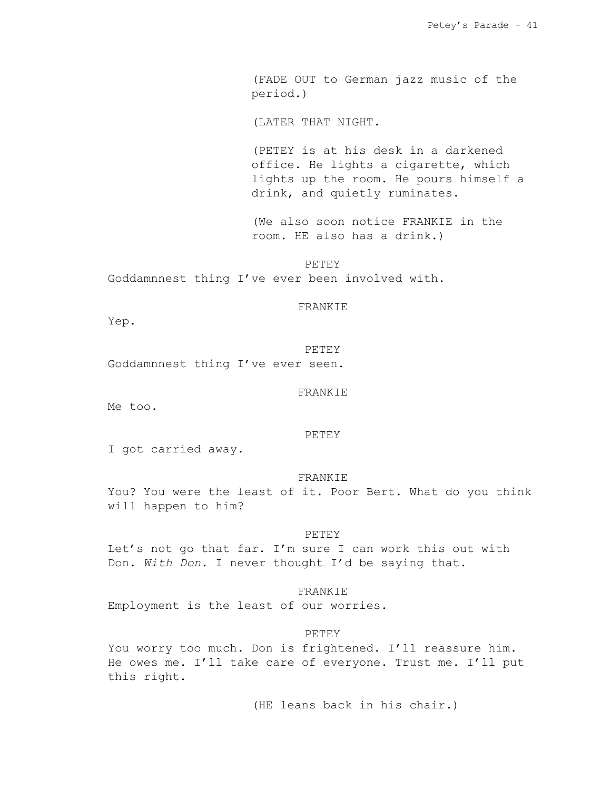(FADE OUT to German jazz music of the period.)

(LATER THAT NIGHT.

(PETEY is at his desk in a darkened office. He lights a cigarette, which lights up the room. He pours himself a drink, and quietly ruminates.

(We also soon notice FRANKIE in the room. HE also has a drink.)

PETEY Goddamnnest thing I've ever been involved with.

# FRANKIE

Yep.

PETEY Goddamnnest thing I've ever seen.

FRANKIE

Me too.

### PETEY

I got carried away.

#### FRANKIE

You? You were the least of it. Poor Bert. What do you think will happen to him?

#### PETEY

Let's not go that far. I'm sure I can work this out with Don. *With Don*. I never thought I'd be saying that.

### FRANKIE

Employment is the least of our worries.

## PETEY

You worry too much. Don is frightened. I'll reassure him. He owes me. I'll take care of everyone. Trust me. I'll put this right.

(HE leans back in his chair.)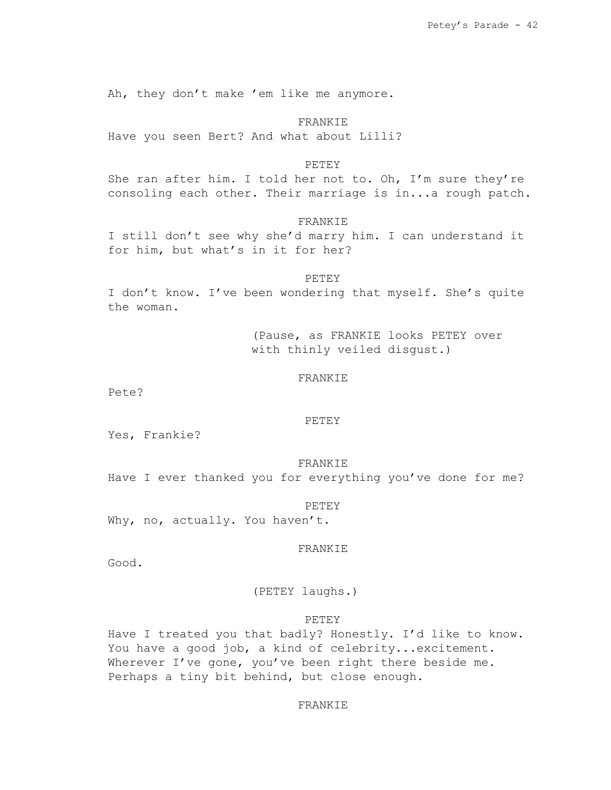Ah, they don't make 'em like me anymore.

## FRANKIE

Have you seen Bert? And what about Lilli?

## PETEY

She ran after him. I told her not to. Oh, I'm sure they're consoling each other. Their marriage is in...a rough patch.

# FRANKIE

I still don't see why she'd marry him. I can understand it for him, but what's in it for her?

# PETEY

I don't know. I've been wondering that myself. She's quite the woman.

> (Pause, as FRANKIE looks PETEY over with thinly veiled disgust.)

# FRANKIE

Pete?

### PETEY

Yes, Frankie?

#### FRANKIE

Have I ever thanked you for everything you've done for me?

### PETEY

Why, no, actually. You haven't.

## FRANKIE

Good.

(PETEY laughs.)

### PETEY

Have I treated you that badly? Honestly. I'd like to know. You have a good job, a kind of celebrity...excitement. Wherever I've gone, you've been right there beside me. Perhaps a tiny bit behind, but close enough.

### FRANKIE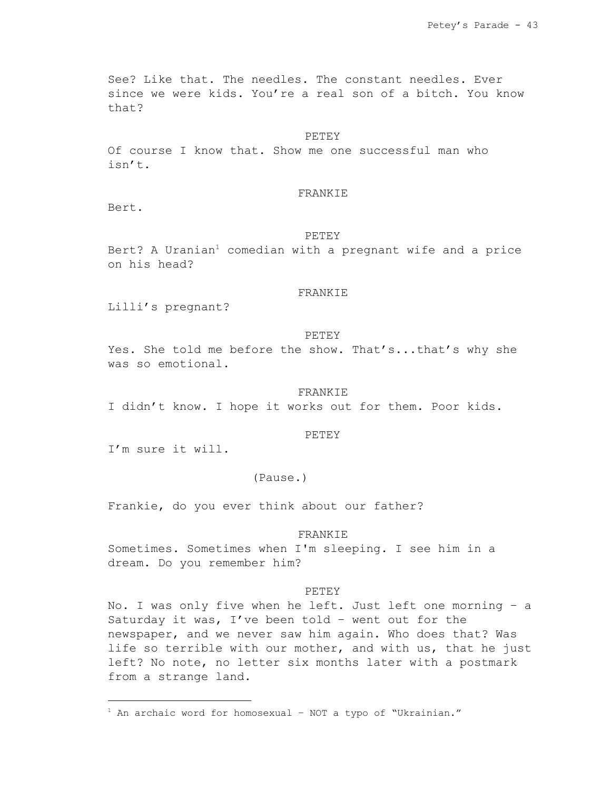See? Like that. The needles. The constant needles. Ever since we were kids. You're a real son of a bitch. You know that?

### PETEY

Of course I know that. Show me one successful man who isn't.

## FRANKIE

Bert.

# PETEY

Bert? A Uranian<sup>1</sup> comedian with a pregnant wife and a price on his head?

# FRANKIE

Lilli's pregnant?

# PETEY

Yes. She told me before the show. That's...that's why she was so emotional.

#### FRANKIE

I didn't know. I hope it works out for them. Poor kids.

### PETEY

I'm sure it will.

# (Pause.)

Frankie, do you ever think about our father?

### FRANKIE

Sometimes. Sometimes when I'm sleeping. I see him in a dream. Do you remember him?

#### PETEY

No. I was only five when he left. Just left one morning – a Saturday it was, I've been told – went out for the newspaper, and we never saw him again. Who does that? Was life so terrible with our mother, and with us, that he just left? No note, no letter six months later with a postmark from a strange land.

 $1$  An archaic word for homosexual - NOT a typo of "Ukrainian."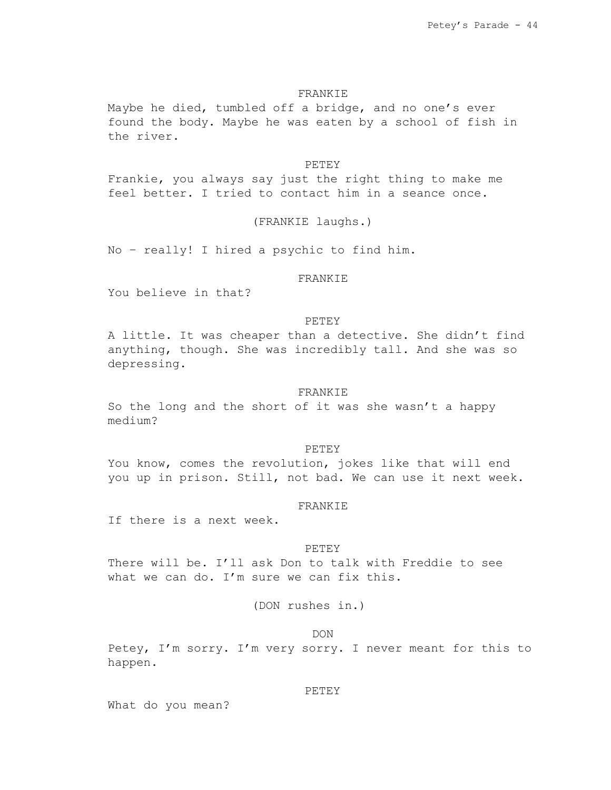# FRANKIE

Maybe he died, tumbled off a bridge, and no one's ever found the body. Maybe he was eaten by a school of fish in the river.

### PETEY

Frankie, you always say just the right thing to make me feel better. I tried to contact him in a seance once.

# (FRANKIE laughs.)

No – really! I hired a psychic to find him.

# FRANKIE

You believe in that?

## PETEY

A little. It was cheaper than a detective. She didn't find anything, though. She was incredibly tall. And she was so depressing.

#### FRANKIE

So the long and the short of it was she wasn't a happy medium?

#### PETEY

You know, comes the revolution, jokes like that will end you up in prison. Still, not bad. We can use it next week.

### FRANKIE

If there is a next week.

## PETEY

There will be. I'll ask Don to talk with Freddie to see what we can do. I'm sure we can fix this.

# (DON rushes in.)

### DON

Petey, I'm sorry. I'm very sorry. I never meant for this to happen.

# PETEY

What do you mean?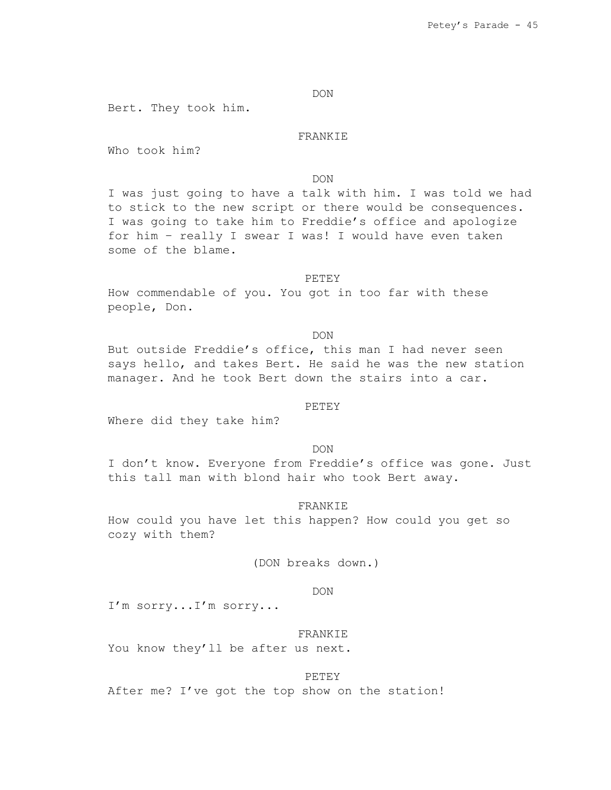DON

Bert. They took him.

FRANKIE

Who took him?

DON

I was just going to have a talk with him. I was told we had to stick to the new script or there would be consequences. I was going to take him to Freddie's office and apologize for him – really I swear I was! I would have even taken some of the blame.

#### PETEY

How commendable of you. You got in too far with these people, Don.

DON

But outside Freddie's office, this man I had never seen says hello, and takes Bert. He said he was the new station manager. And he took Bert down the stairs into a car.

# **PETEY**

Where did they take him?

DON

I don't know. Everyone from Freddie's office was gone. Just this tall man with blond hair who took Bert away.

FRANKIE

How could you have let this happen? How could you get so cozy with them?

(DON breaks down.)

### DON

I'm sorry...I'm sorry...

### FRANKIE

You know they'll be after us next.

#### PETEY

After me? I've got the top show on the station!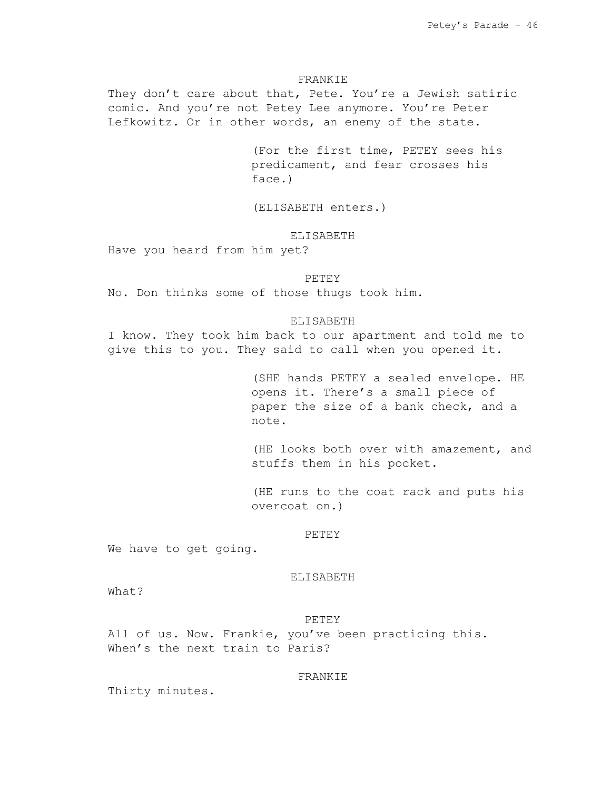### FRANKIE

They don't care about that, Pete. You're a Jewish satiric comic. And you're not Petey Lee anymore. You're Peter Lefkowitz. Or in other words, an enemy of the state.

> (For the first time, PETEY sees his predicament, and fear crosses his face.)

(ELISABETH enters.)

# ELISABETH

Have you heard from him yet?

#### PETEY

No. Don thinks some of those thugs took him.

# ELISABETH

I know. They took him back to our apartment and told me to give this to you. They said to call when you opened it.

> (SHE hands PETEY a sealed envelope. HE opens it. There's a small piece of paper the size of a bank check, and a note.

(HE looks both over with amazement, and stuffs them in his pocket.

(HE runs to the coat rack and puts his overcoat on.)

#### PETEY

We have to get going.

# ELISABETH

What?

# PETEY

All of us. Now. Frankie, you've been practicing this. When's the next train to Paris?

# FRANKIE

Thirty minutes.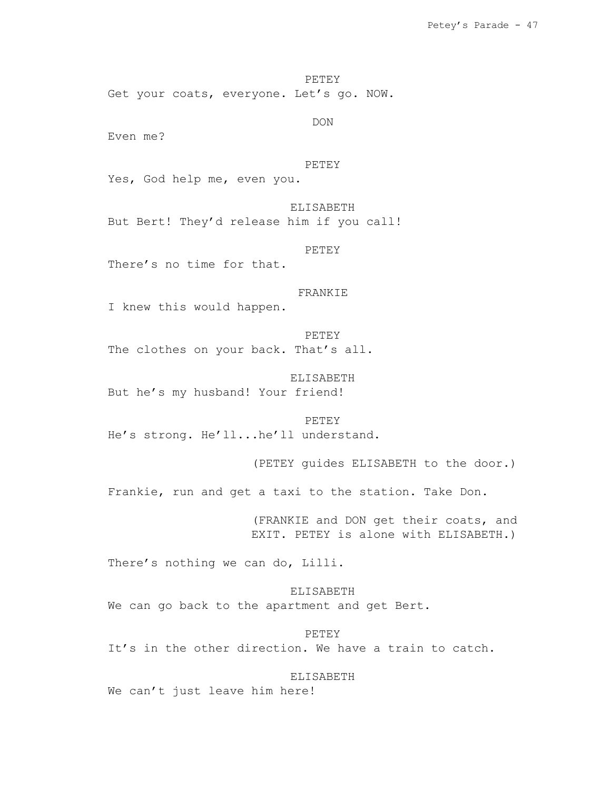PETEY

Get your coats, everyone. Let's go. NOW.

DON

Even me?

## PETEY

Yes, God help me, even you.

ELISABETH But Bert! They'd release him if you call!

PETEY

There's no time for that.

#### FRANKIE

I knew this would happen.

PETEY The clothes on your back. That's all.

ELISABETH But he's my husband! Your friend!

PETEY He's strong. He'll...he'll understand.

(PETEY guides ELISABETH to the door.)

Frankie, run and get a taxi to the station. Take Don.

(FRANKIE and DON get their coats, and EXIT. PETEY is alone with ELISABETH.)

There's nothing we can do, Lilli.

ELISABETH We can go back to the apartment and get Bert.

PETEY It's in the other direction. We have a train to catch.

ELISABETH We can't just leave him here!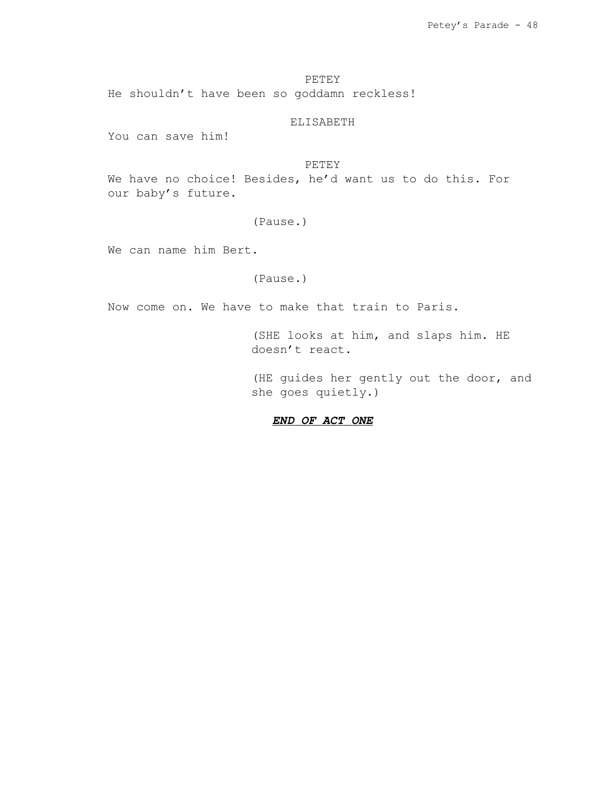PETEY

He shouldn't have been so goddamn reckless!

ELISABETH

You can save him!

# PETEY

We have no choice! Besides, he'd want us to do this. For our baby's future.

# (Pause.)

We can name him Bert.

# (Pause.)

Now come on. We have to make that train to Paris.

(SHE looks at him, and slaps him. HE doesn't react.

(HE guides her gently out the door, and she goes quietly.)

# *END OF ACT ONE*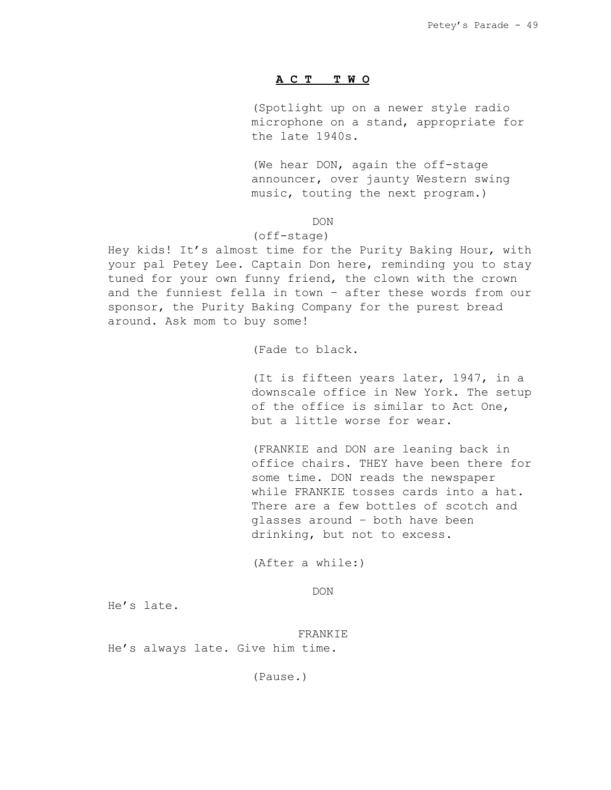### **A C T T W O**

(Spotlight up on a newer style radio microphone on a stand, appropriate for the late 1940s.

(We hear DON, again the off-stage announcer, over jaunty Western swing music, touting the next program.)

# DON

# (off-stage)

Hey kids! It's almost time for the Purity Baking Hour, with your pal Petey Lee. Captain Don here, reminding you to stay tuned for your own funny friend, the clown with the crown and the funniest fella in town – after these words from our sponsor, the Purity Baking Company for the purest bread around. Ask mom to buy some!

(Fade to black.

(It is fifteen years later, 1947, in a downscale office in New York. The setup of the office is similar to Act One, but a little worse for wear.

(FRANKIE and DON are leaning back in office chairs. THEY have been there for some time. DON reads the newspaper while FRANKIE tosses cards into a hat. There are a few bottles of scotch and glasses around – both have been drinking, but not to excess.

(After a while:)

DON

He's late.

FRANKIE He's always late. Give him time.

(Pause.)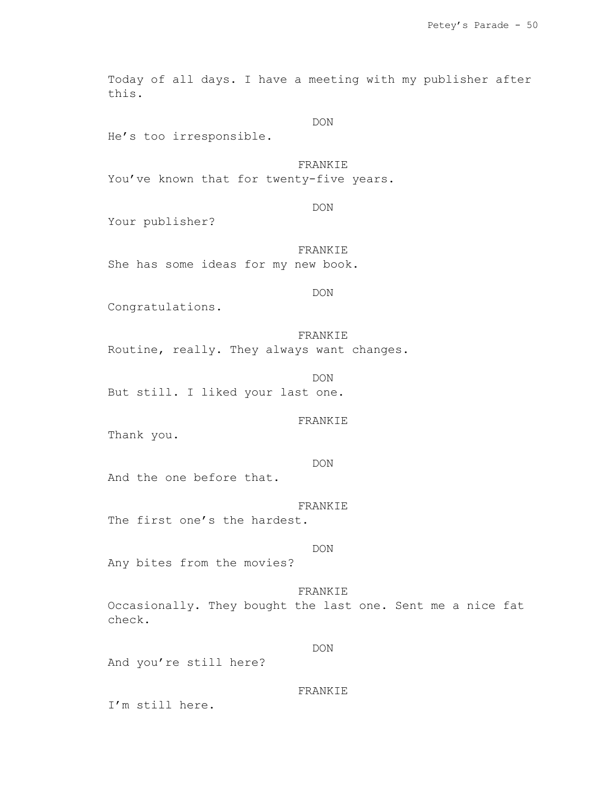Today of all days. I have a meeting with my publisher after this.

DON

He's too irresponsible.

# FRANKIE

You've known that for twenty-five years.

DON

Your publisher?

FRANKIE She has some ideas for my new book.

DON

Congratulations.

FRANKIE Routine, really. They always want changes.

DON But still. I liked your last one.

### FRANKIE

Thank you.

DON

And the one before that.

FRANKIE

The first one's the hardest.

# DON

Any bites from the movies?

FRANKIE Occasionally. They bought the last one. Sent me a nice fat check.

# DON

And you're still here?

# FRANKIE

I'm still here.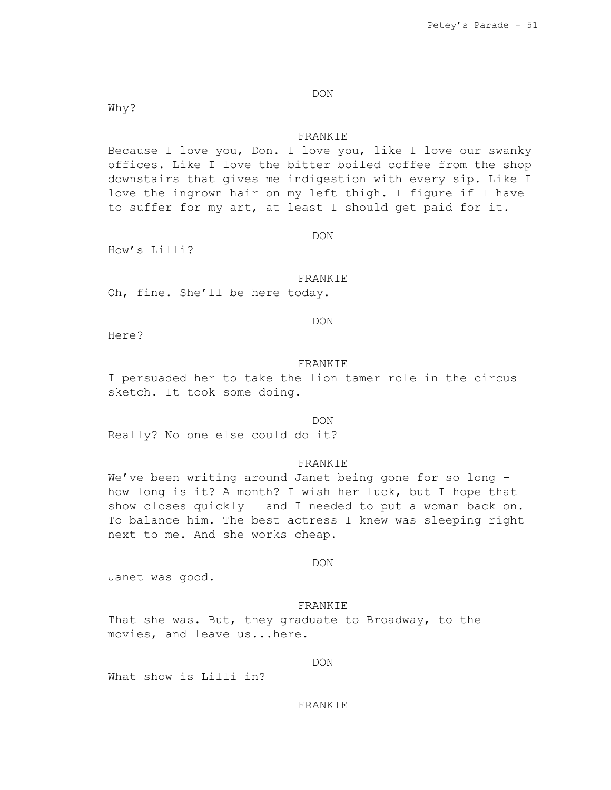# DON

Why?

# FRANKIE

Because I love you, Don. I love you, like I love our swanky offices. Like I love the bitter boiled coffee from the shop downstairs that gives me indigestion with every sip. Like I love the ingrown hair on my left thigh. I figure if I have to suffer for my art, at least I should get paid for it.

DON

How's Lilli?

Here?

## FRANKIE

DON

Oh, fine. She'll be here today.

### FRANKIE

I persuaded her to take the lion tamer role in the circus sketch. It took some doing.

#### DON

Really? No one else could do it?

### FRANKIE

We've been writing around Janet being gone for so long how long is it? A month? I wish her luck, but I hope that show closes quickly – and I needed to put a woman back on. To balance him. The best actress I knew was sleeping right next to me. And she works cheap.

DON

Janet was good.

### FRANKIE

That she was. But, they graduate to Broadway, to the movies, and leave us...here.

DON

What show is Lilli in?

### FRANKIE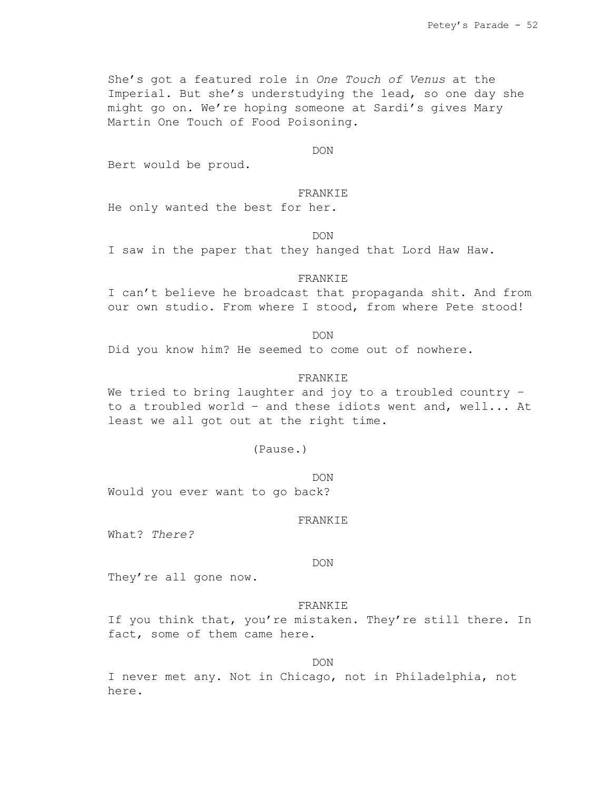She's got a featured role in *One Touch of Venus* at the Imperial. But she's understudying the lead, so one day she might go on. We're hoping someone at Sardi's gives Mary Martin One Touch of Food Poisoning.

DON

Bert would be proud.

### FRANKIE

He only wanted the best for her.

DON

I saw in the paper that they hanged that Lord Haw Haw.

## FRANKIE

I can't believe he broadcast that propaganda shit. And from our own studio. From where I stood, from where Pete stood!

DON

Did you know him? He seemed to come out of nowhere.

# FRANKIE

We tried to bring laughter and joy to a troubled country – to a troubled world – and these idiots went and, well... At least we all got out at the right time.

(Pause.)

DON Would you ever want to go back?

### FRANKIE

What? *There?*

#### DON

They're all gone now.

### FRANKIE

If you think that, you're mistaken. They're still there. In fact, some of them came here.

DON

I never met any. Not in Chicago, not in Philadelphia, not here.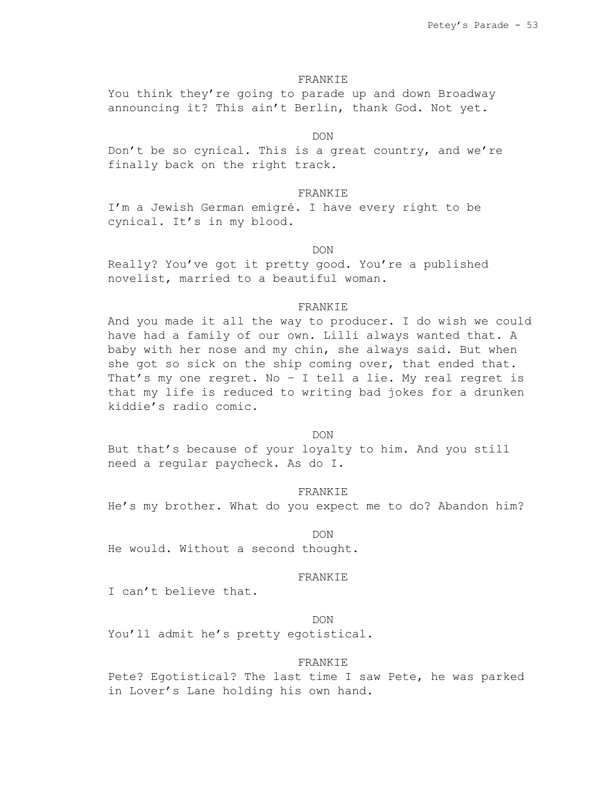#### FRANKIE

You think they're going to parade up and down Broadway announcing it? This ain't Berlin, thank God. Not yet.

# DON

Don't be so cynical. This is a great country, and we're finally back on the right track.

# FRANKIE

I'm a Jewish German emigré. I have every right to be cynical. It's in my blood.

#### DON

Really? You've got it pretty good. You're a published novelist, married to a beautiful woman.

# FRANKIE

And you made it all the way to producer. I do wish we could have had a family of our own. Lilli always wanted that. A baby with her nose and my chin, she always said. But when she got so sick on the ship coming over, that ended that. That's my one regret. No – I tell a lie. My real regret is that my life is reduced to writing bad jokes for a drunken kiddie's radio comic.

# DON

But that's because of your loyalty to him. And you still need a regular paycheck. As do I.

#### FRANKIE

He's my brother. What do you expect me to do? Abandon him?

#### DON

He would. Without a second thought.

# FRANKIE

I can't believe that.

# DON

You'll admit he's pretty egotistical.

#### FRANKIE

Pete? Egotistical? The last time I saw Pete, he was parked in Lover's Lane holding his own hand.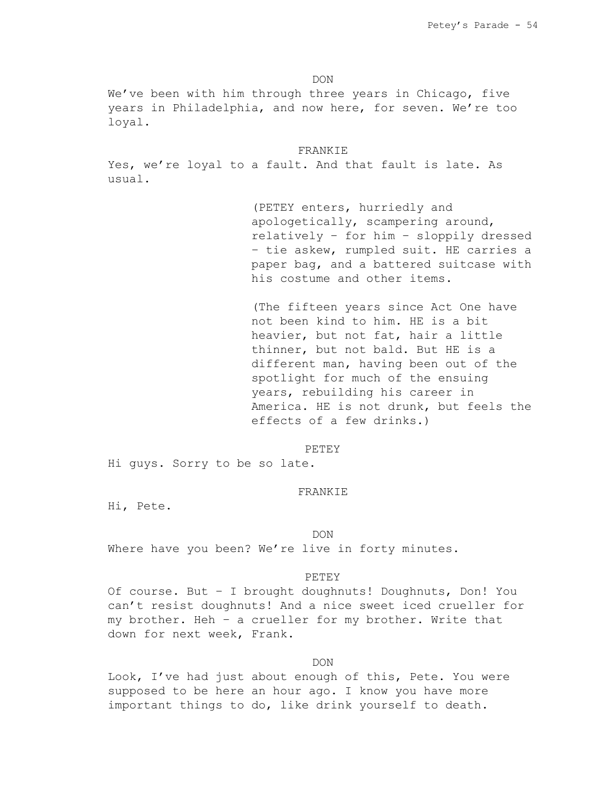DON

We've been with him through three years in Chicago, five years in Philadelphia, and now here, for seven. We're too loyal.

### FRANKIE

Yes, we're loyal to a fault. And that fault is late. As usual.

> (PETEY enters, hurriedly and apologetically, scampering around, relatively – for him – sloppily dressed – tie askew, rumpled suit. HE carries a paper bag, and a battered suitcase with his costume and other items.

> (The fifteen years since Act One have not been kind to him. HE is a bit heavier, but not fat, hair a little thinner, but not bald. But HE is a different man, having been out of the spotlight for much of the ensuing years, rebuilding his career in America. HE is not drunk, but feels the effects of a few drinks.)

#### PETEY

Hi guys. Sorry to be so late.

#### FRANKIE

Hi, Pete.

#### DON

Where have you been? We're live in forty minutes.

#### PETEY

Of course. But – I brought doughnuts! Doughnuts, Don! You can't resist doughnuts! And a nice sweet iced crueller for my brother. Heh – a crueller for my brother. Write that down for next week, Frank.

# DON

Look, I've had just about enough of this, Pete. You were supposed to be here an hour ago. I know you have more important things to do, like drink yourself to death.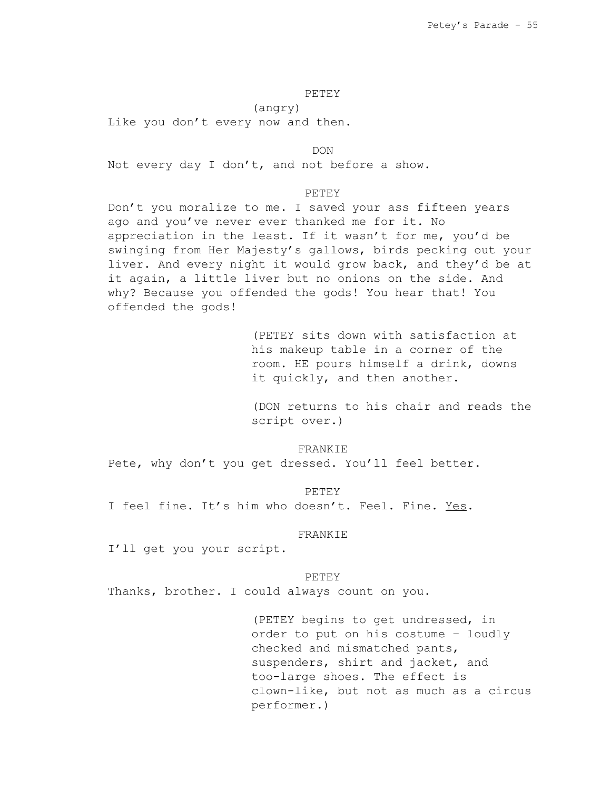# PETEY

(angry)

Like you don't every now and then.

DON Not every day I don't, and not before a show.

# PETEY

Don't you moralize to me. I saved your ass fifteen years ago and you've never ever thanked me for it. No appreciation in the least. If it wasn't for me, you'd be swinging from Her Majesty's gallows, birds pecking out your liver. And every night it would grow back, and they'd be at it again, a little liver but no onions on the side. And why? Because you offended the gods! You hear that! You offended the gods!

> (PETEY sits down with satisfaction at his makeup table in a corner of the room. HE pours himself a drink, downs it quickly, and then another.

(DON returns to his chair and reads the script over.)

## FRANKIE

Pete, why don't you get dressed. You'll feel better.

PETEY

I feel fine. It's him who doesn't. Feel. Fine. Yes.

#### FRANKIE

I'll get you your script.

#### PETEY

Thanks, brother. I could always count on you.

(PETEY begins to get undressed, in order to put on his costume – loudly checked and mismatched pants, suspenders, shirt and jacket, and too-large shoes. The effect is clown-like, but not as much as a circus performer.)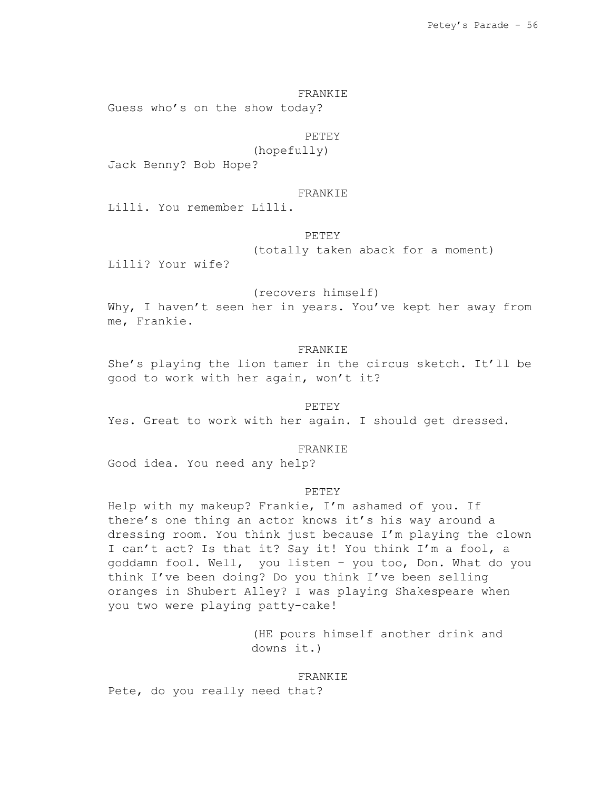### FRANKIE

Guess who's on the show today?

# PETEY

(hopefully)

Jack Benny? Bob Hope?

# FRANKIE

Lilli. You remember Lilli.

# PETEY

(totally taken aback for a moment)

Lilli? Your wife?

# (recovers himself)

Why, I haven't seen her in years. You've kept her away from me, Frankie.

## FRANKIE

She's playing the lion tamer in the circus sketch. It'll be good to work with her again, won't it?

# PETEY

Yes. Great to work with her again. I should get dressed.

## FRANKIE

Good idea. You need any help?

# PETEY

Help with my makeup? Frankie, I'm ashamed of you. If there's one thing an actor knows it's his way around a dressing room. You think just because I'm playing the clown I can't act? Is that it? Say it! You think I'm a fool, a goddamn fool. Well, you listen – you too, Don. What do you think I've been doing? Do you think I've been selling oranges in Shubert Alley? I was playing Shakespeare when you two were playing patty-cake!

> (HE pours himself another drink and downs it.)

#### FRANKIE

Pete, do you really need that?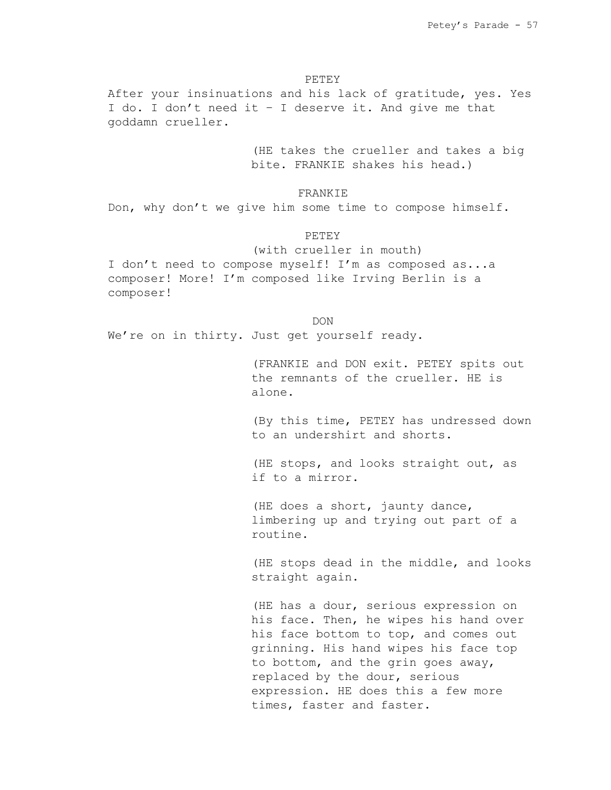**PETEY** 

After your insinuations and his lack of gratitude, yes. Yes I do. I don't need it – I deserve it. And give me that goddamn crueller.

> (HE takes the crueller and takes a big bite. FRANKIE shakes his head.)

> > **FRANKIE**

Don, why don't we give him some time to compose himself.

# PETEY

(with crueller in mouth) I don't need to compose myself! I'm as composed as...a composer! More! I'm composed like Irving Berlin is a composer!

DON

We're on in thirty. Just get yourself ready.

(FRANKIE and DON exit. PETEY spits out the remnants of the crueller. HE is alone.

(By this time, PETEY has undressed down to an undershirt and shorts.

(HE stops, and looks straight out, as if to a mirror.

(HE does a short, jaunty dance, limbering up and trying out part of a routine.

(HE stops dead in the middle, and looks straight again.

(HE has a dour, serious expression on his face. Then, he wipes his hand over his face bottom to top, and comes out grinning. His hand wipes his face top to bottom, and the grin goes away, replaced by the dour, serious expression. HE does this a few more times, faster and faster.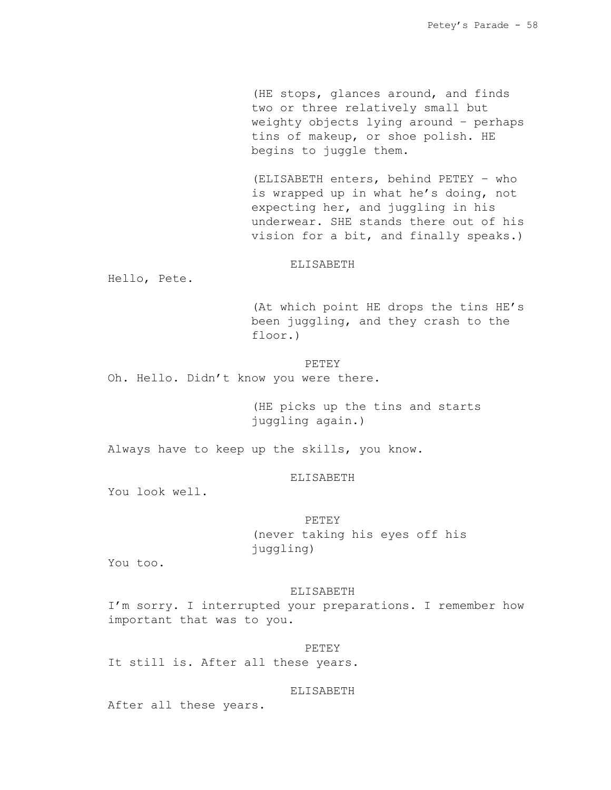(HE stops, glances around, and finds two or three relatively small but weighty objects lying around – perhaps tins of makeup, or shoe polish. HE begins to juggle them.

(ELISABETH enters, behind PETEY – who is wrapped up in what he's doing, not expecting her, and juggling in his underwear. SHE stands there out of his vision for a bit, and finally speaks.)

# ELISABETH

Hello, Pete.

(At which point HE drops the tins HE's been juggling, and they crash to the floor.)

PETEY Oh. Hello. Didn't know you were there.

> (HE picks up the tins and starts juggling again.)

Always have to keep up the skills, you know.

# ELISABETH

You look well.

PETEY (never taking his eyes off his juggling)

You too.

### ELISABETH

I'm sorry. I interrupted your preparations. I remember how important that was to you.

PETEY It still is. After all these years.

### ELISABETH

After all these years.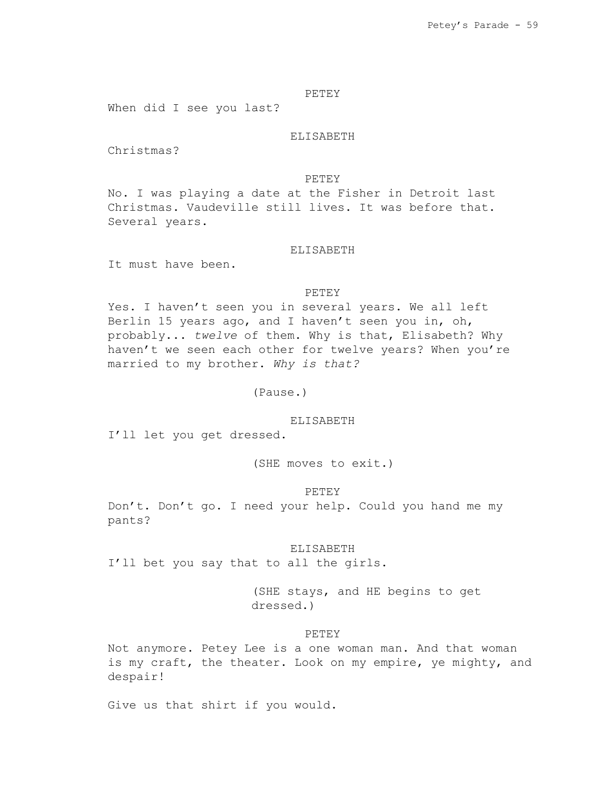# PETEY

When did I see you last?

### ELISABETH

Christmas?

### PETEY

No. I was playing a date at the Fisher in Detroit last Christmas. Vaudeville still lives. It was before that. Several years.

#### ELISABETH

It must have been.

#### PETEY

Yes. I haven't seen you in several years. We all left Berlin 15 years ago, and I haven't seen you in, oh, probably... *twelve* of them. Why is that, Elisabeth? Why haven't we seen each other for twelve years? When you're married to my brother. *Why is that?*

(Pause.)

#### ELISABETH

I'll let you get dressed.

(SHE moves to exit.)

#### PETEY

Don't. Don't go. I need your help. Could you hand me my pants?

# ELISABETH

I'll bet you say that to all the girls.

(SHE stays, and HE begins to get dressed.)

### PETEY

Not anymore. Petey Lee is a one woman man. And that woman is my craft, the theater. Look on my empire, ye mighty, and despair!

Give us that shirt if you would.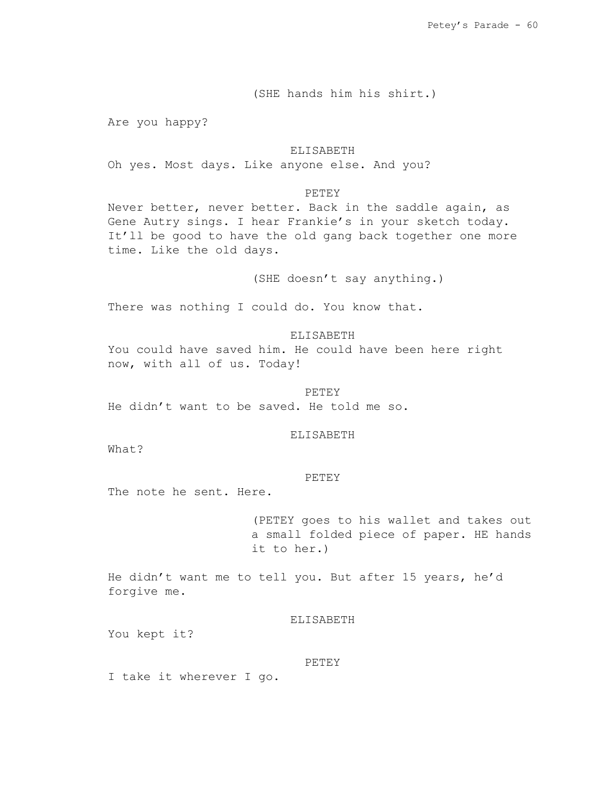(SHE hands him his shirt.)

Are you happy?

# ELISABETH

Oh yes. Most days. Like anyone else. And you?

# PETEY

Never better, never better. Back in the saddle again, as Gene Autry sings. I hear Frankie's in your sketch today. It'll be good to have the old gang back together one more time. Like the old days.

(SHE doesn't say anything.)

There was nothing I could do. You know that.

ELISABETH

You could have saved him. He could have been here right now, with all of us. Today!

PETEY He didn't want to be saved. He told me so.

### ELISABETH

What?

## PETEY

The note he sent. Here.

(PETEY goes to his wallet and takes out a small folded piece of paper. HE hands it to her.)

He didn't want me to tell you. But after 15 years, he'd forgive me.

# ELISABETH

You kept it?

#### PETEY

I take it wherever I go.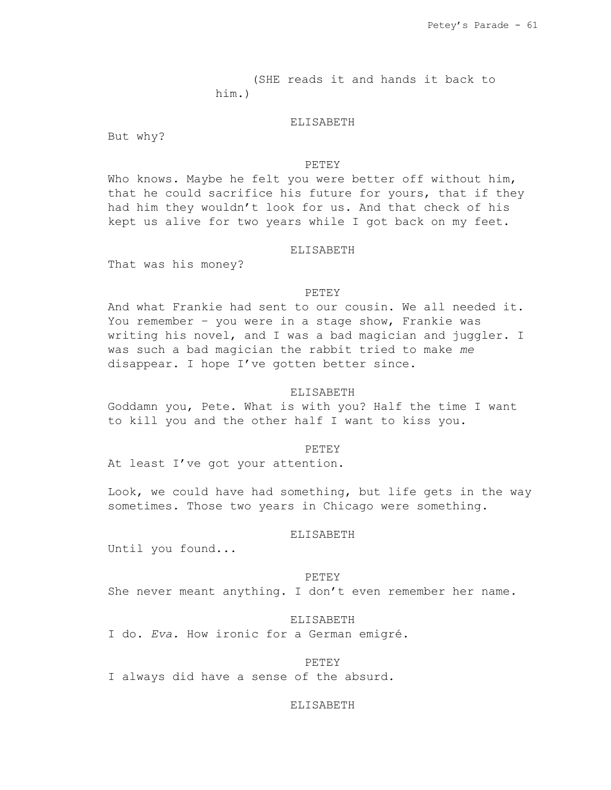(SHE reads it and hands it back to him.)

# ELISABETH

But why?

### PETEY

Who knows. Maybe he felt you were better off without him, that he could sacrifice his future for yours, that if they had him they wouldn't look for us. And that check of his kept us alive for two years while I got back on my feet.

#### ELISABETH

That was his money?

### PETEY

And what Frankie had sent to our cousin. We all needed it. You remember – you were in a stage show, Frankie was writing his novel, and I was a bad magician and juggler. I was such a bad magician the rabbit tried to make *me* disappear. I hope I've gotten better since.

### ELISABETH

Goddamn you, Pete. What is with you? Half the time I want to kill you and the other half I want to kiss you.

#### PETEY

At least I've got your attention.

Look, we could have had something, but life gets in the way sometimes. Those two years in Chicago were something.

#### ELISABETH

Until you found...

### PETEY

She never meant anything. I don't even remember her name.

### ELISABETH

I do. *Eva*. How ironic for a German emigré.

### PETEY

I always did have a sense of the absurd.

### ELISABETH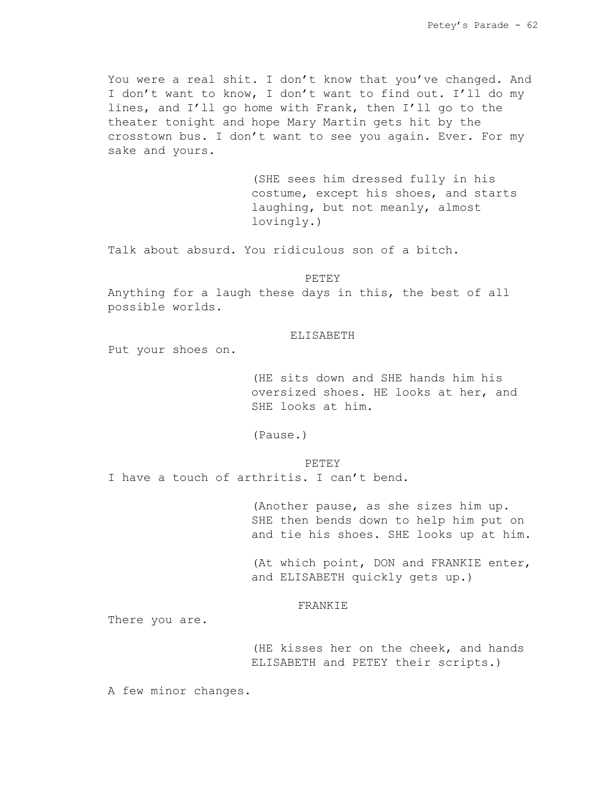You were a real shit. I don't know that you've changed. And I don't want to know, I don't want to find out. I'll do my lines, and I'll go home with Frank, then I'll go to the theater tonight and hope Mary Martin gets hit by the crosstown bus. I don't want to see you again. Ever. For my sake and yours.

> (SHE sees him dressed fully in his costume, except his shoes, and starts laughing, but not meanly, almost lovingly.)

Talk about absurd. You ridiculous son of a bitch.

PETEY

Anything for a laugh these days in this, the best of all possible worlds.

# ELISABETH

Put your shoes on.

(HE sits down and SHE hands him his oversized shoes. HE looks at her, and SHE looks at him.

(Pause.)

#### PETEY

I have a touch of arthritis. I can't bend.

(Another pause, as she sizes him up. SHE then bends down to help him put on and tie his shoes. SHE looks up at him.

(At which point, DON and FRANKIE enter, and ELISABETH quickly gets up.)

### FRANKIE

There you are.

(HE kisses her on the cheek, and hands ELISABETH and PETEY their scripts.)

A few minor changes.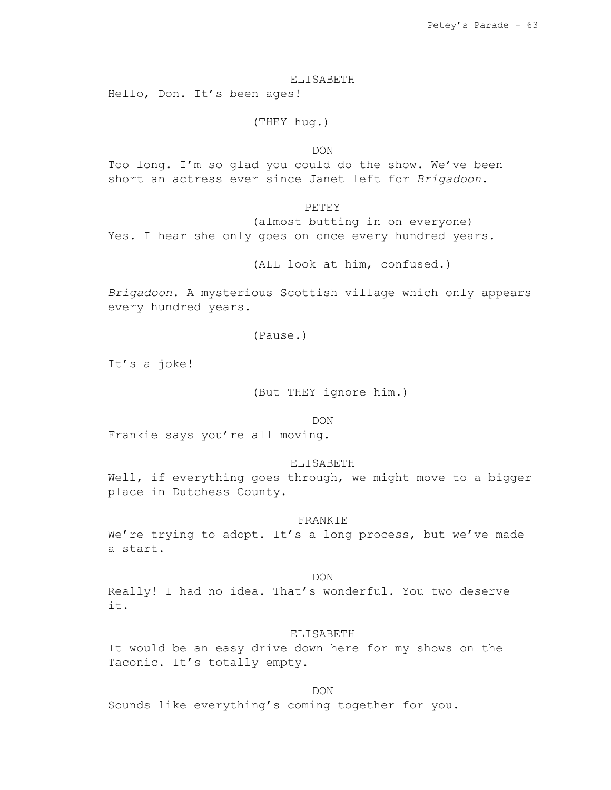ELISABETH

Hello, Don. It's been ages!

(THEY hug.)

DON

Too long. I'm so glad you could do the show. We've been short an actress ever since Janet left for *Brigadoon*.

PETEY

(almost butting in on everyone) Yes. I hear she only goes on once every hundred years.

(ALL look at him, confused.)

*Brigadoon*. A mysterious Scottish village which only appears every hundred years.

(Pause.)

It's a joke!

(But THEY ignore him.)

DON

Frankie says you're all moving.

ELISABETH

Well, if everything goes through, we might move to a bigger place in Dutchess County.

### FRANKIE

We're trying to adopt. It's a long process, but we've made a start.

# DON

Really! I had no idea. That's wonderful. You two deserve it.

# ELISABETH

It would be an easy drive down here for my shows on the Taconic. It's totally empty.

DON Sounds like everything's coming together for you.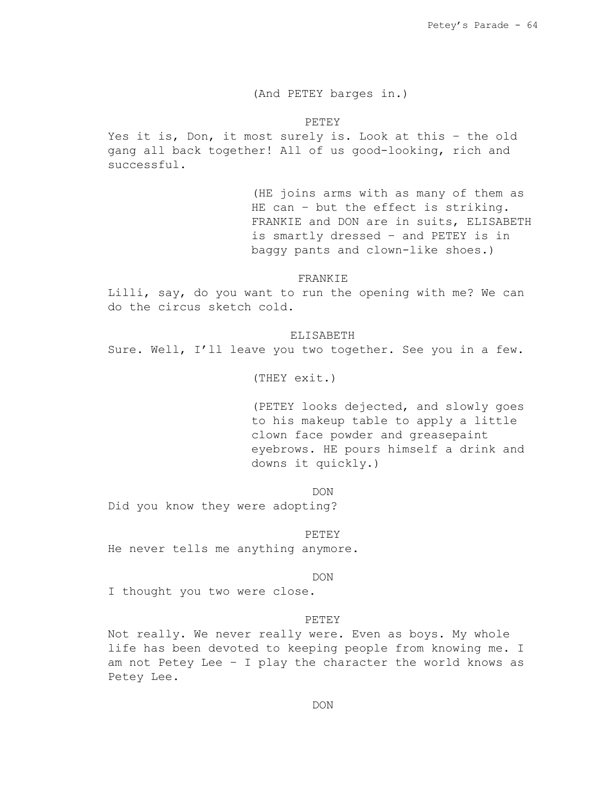# (And PETEY barges in.)

PETEY

Yes it is, Don, it most surely is. Look at this – the old gang all back together! All of us good-looking, rich and successful.

> (HE joins arms with as many of them as HE can - but the effect is striking. FRANKIE and DON are in suits, ELISABETH is smartly dressed – and PETEY is in baggy pants and clown-like shoes.)

### FRANKIE

Lilli, say, do you want to run the opening with me? We can do the circus sketch cold.

ELISABETH

Sure. Well, I'll leave you two together. See you in a few.

(THEY exit.)

(PETEY looks dejected, and slowly goes to his makeup table to apply a little clown face powder and greasepaint eyebrows. HE pours himself a drink and downs it quickly.)

DON

Did you know they were adopting?

#### PETEY

He never tells me anything anymore.

#### DON

I thought you two were close.

### PETEY

Not really. We never really were. Even as boys. My whole life has been devoted to keeping people from knowing me. I am not Petey Lee – I play the character the world knows as Petey Lee.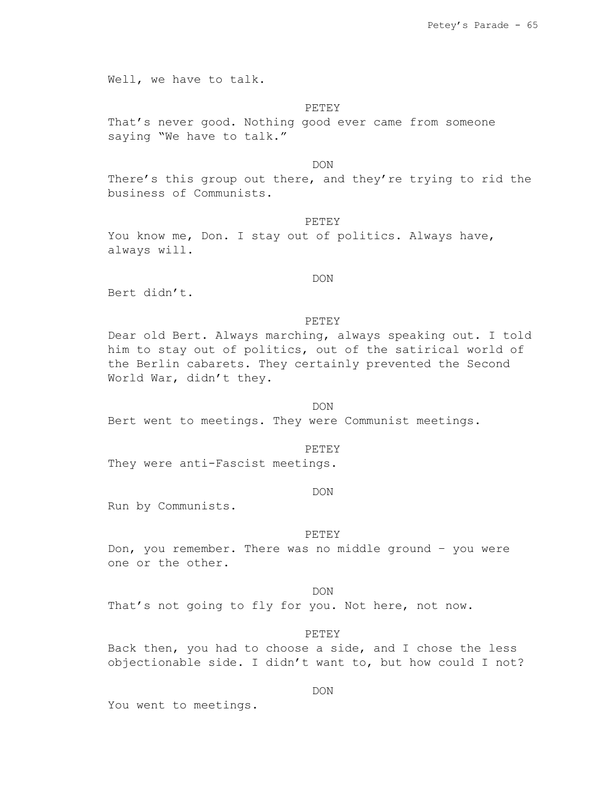Well, we have to talk.

### PETEY

That's never good. Nothing good ever came from someone saying "We have to talk."

DON

There's this group out there, and they're trying to rid the business of Communists.

# **PETEY**

You know me, Don. I stay out of politics. Always have, always will.

# DON

Bert didn't.

### **PETEY**

Dear old Bert. Always marching, always speaking out. I told him to stay out of politics, out of the satirical world of the Berlin cabarets. They certainly prevented the Second World War, didn't they.

# DON

Bert went to meetings. They were Communist meetings.

#### PETEY

They were anti-Fascist meetings.

# DON

Run by Communists.

### PETEY

Don, you remember. There was no middle ground – you were one or the other.

#### DON

That's not going to fly for you. Not here, not now.

# PETEY

Back then, you had to choose a side, and I chose the less objectionable side. I didn't want to, but how could I not?

# DON

You went to meetings.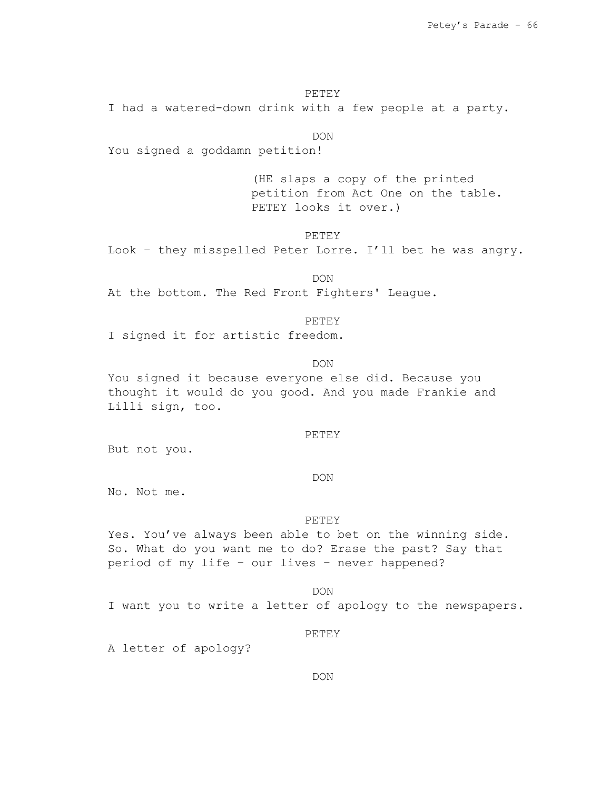PETEY

I had a watered-down drink with a few people at a party.

DON

You signed a goddamn petition!

(HE slaps a copy of the printed petition from Act One on the table. PETEY looks it over.)

PETEY

Look – they misspelled Peter Lorre. I'll bet he was angry.

DON At the bottom. The Red Front Fighters' League.

#### PETEY

I signed it for artistic freedom.

DON

You signed it because everyone else did. Because you thought it would do you good. And you made Frankie and Lilli sign, too.

# PETEY

But not you.

## DON

No. Not me.

#### PETEY

Yes. You've always been able to bet on the winning side. So. What do you want me to do? Erase the past? Say that period of my life – our lives – never happened?

#### DON

I want you to write a letter of apology to the newspapers.

#### PETEY

A letter of apology?

### DON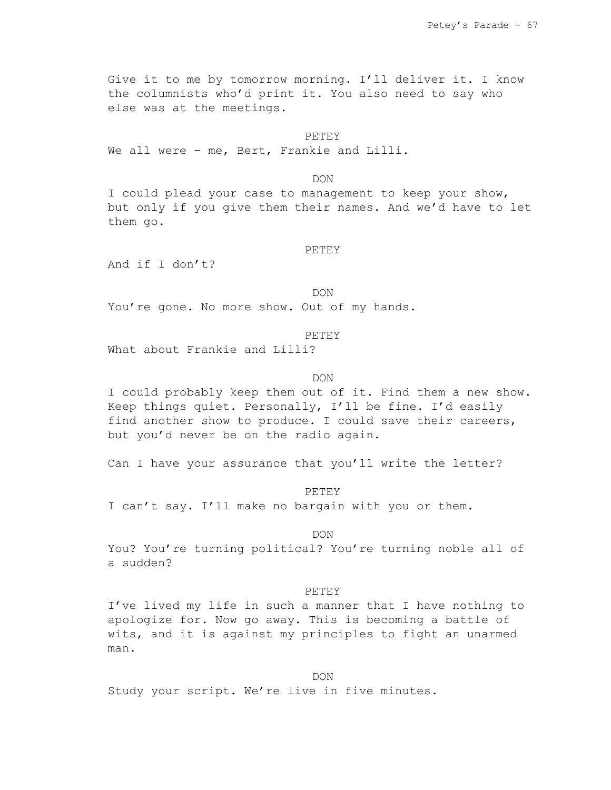Give it to me by tomorrow morning. I'll deliver it. I know the columnists who'd print it. You also need to say who else was at the meetings.

#### PETEY

We all were - me, Bert, Frankie and Lilli.

DON

I could plead your case to management to keep your show, but only if you give them their names. And we'd have to let them go.

#### PETEY

And if I don't?

DON

You're gone. No more show. Out of my hands.

### PETEY

What about Frankie and Lilli?

### DON

I could probably keep them out of it. Find them a new show. Keep things quiet. Personally, I'll be fine. I'd easily find another show to produce. I could save their careers, but you'd never be on the radio again.

Can I have your assurance that you'll write the letter?

PETEY

I can't say. I'll make no bargain with you or them.

DON

You? You're turning political? You're turning noble all of a sudden?

#### PETEY

I've lived my life in such a manner that I have nothing to apologize for. Now go away. This is becoming a battle of wits, and it is against my principles to fight an unarmed man.

DON

Study your script. We're live in five minutes.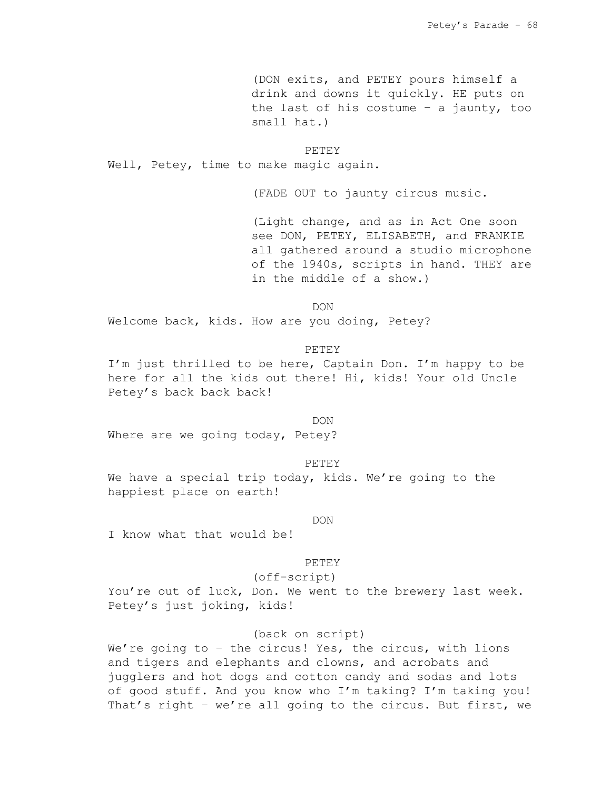(DON exits, and PETEY pours himself a drink and downs it quickly. HE puts on the last of his costume – a jaunty, too small hat.)

#### PETEY

Well, Petey, time to make magic again.

(FADE OUT to jaunty circus music.

(Light change, and as in Act One soon see DON, PETEY, ELISABETH, and FRANKIE all gathered around a studio microphone of the 1940s, scripts in hand. THEY are in the middle of a show.)

DON

Welcome back, kids. How are you doing, Petey?

### PETEY

I'm just thrilled to be here, Captain Don. I'm happy to be here for all the kids out there! Hi, kids! Your old Uncle Petey's back back back!

#### DON

Where are we going today, Petey?

#### PETEY

We have a special trip today, kids. We're going to the happiest place on earth!

### DON

I know what that would be!

#### PETEY

(off-script)

You're out of luck, Don. We went to the brewery last week. Petey's just joking, kids!

# (back on script)

We're going to - the circus! Yes, the circus, with lions and tigers and elephants and clowns, and acrobats and jugglers and hot dogs and cotton candy and sodas and lots of good stuff. And you know who I'm taking? I'm taking you! That's right – we're all going to the circus. But first, we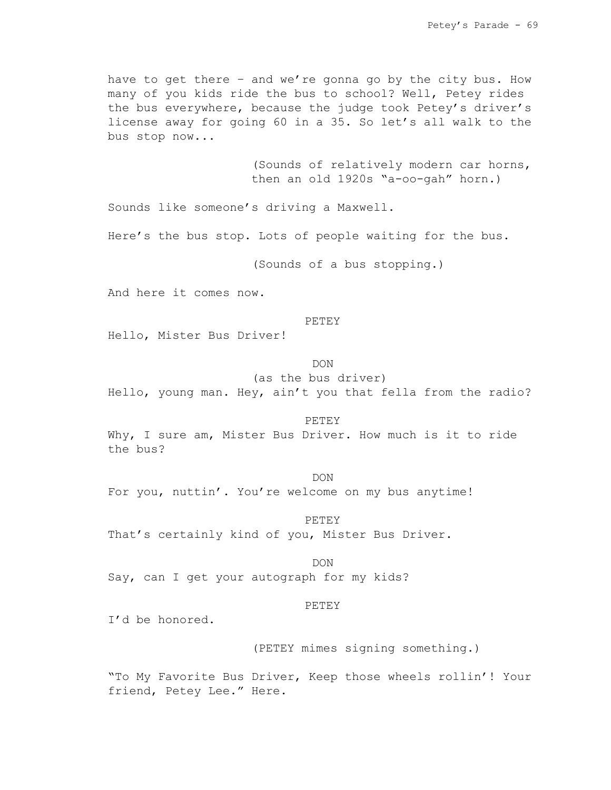have to get there – and we're gonna go by the city bus. How many of you kids ride the bus to school? Well, Petey rides the bus everywhere, because the judge took Petey's driver's license away for going 60 in a 35. So let's all walk to the bus stop now...

> (Sounds of relatively modern car horns, then an old 1920s "a-oo-gah" horn.)

Sounds like someone's driving a Maxwell.

Here's the bus stop. Lots of people waiting for the bus.

(Sounds of a bus stopping.)

And here it comes now.

#### PETEY

Hello, Mister Bus Driver!

# DON

(as the bus driver)

Hello, young man. Hey, ain't you that fella from the radio?

#### PETEY

Why, I sure am, Mister Bus Driver. How much is it to ride the bus?

## DON

For you, nuttin'. You're welcome on my bus anytime!

### PETEY

That's certainly kind of you, Mister Bus Driver.

DON

Say, can I get your autograph for my kids?

#### PETEY

I'd be honored.

# (PETEY mimes signing something.)

"To My Favorite Bus Driver, Keep those wheels rollin'! Your friend, Petey Lee." Here.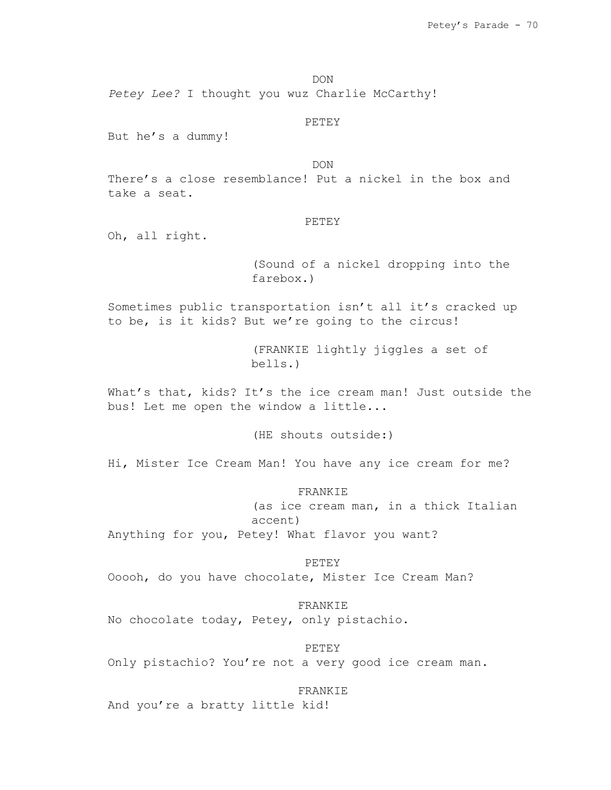DON

*Petey Lee?* I thought you wuz Charlie McCarthy!

PETEY

But he's a dummy!

DON

There's a close resemblance! Put a nickel in the box and take a seat.

# PETEY

Oh, all right.

(Sound of a nickel dropping into the farebox.)

Sometimes public transportation isn't all it's cracked up to be, is it kids? But we're going to the circus!

> (FRANKIE lightly jiggles a set of bells.)

What's that, kids? It's the ice cream man! Just outside the bus! Let me open the window a little...

(HE shouts outside:)

Hi, Mister Ice Cream Man! You have any ice cream for me?

FRANKIE (as ice cream man, in a thick Italian accent) Anything for you, Petey! What flavor you want?

PETEY Ooooh, do you have chocolate, Mister Ice Cream Man?

FRANKIE No chocolate today, Petey, only pistachio.

PETEY Only pistachio? You're not a very good ice cream man.

# FRANKIE

And you're a bratty little kid!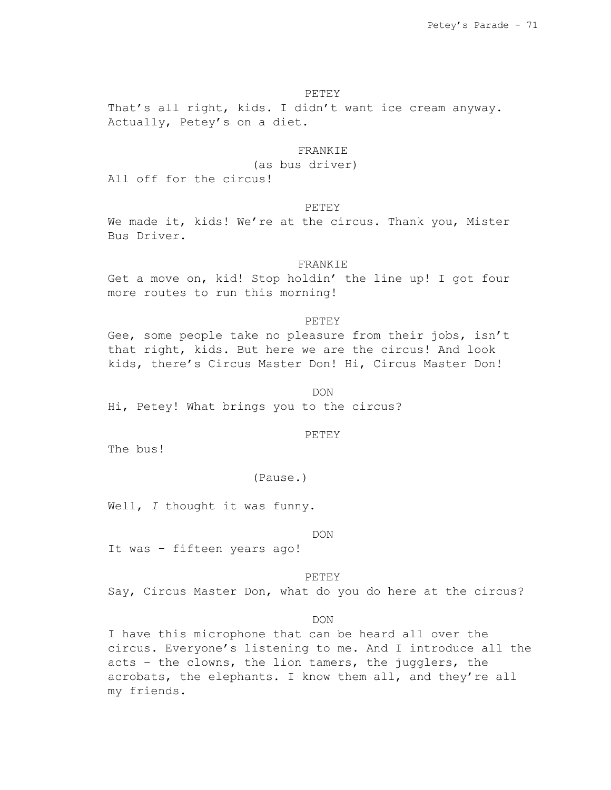## PETEY

That's all right, kids. I didn't want ice cream anyway. Actually, Petey's on a diet.

# FRANKIE

(as bus driver)

All off for the circus!

PETEY

We made it, kids! We're at the circus. Thank you, Mister Bus Driver.

### FRANKIE

Get a move on, kid! Stop holdin' the line up! I got four more routes to run this morning!

#### PETEY

Gee, some people take no pleasure from their jobs, isn't that right, kids. But here we are the circus! And look kids, there's Circus Master Don! Hi, Circus Master Don!

DON

Hi, Petey! What brings you to the circus?

## PETEY

The bus!

## (Pause.)

Well, *I* thought it was funny.

#### DON

It was – fifteen years ago!

PETEY

Say, Circus Master Don, what do you do here at the circus?

## DON

I have this microphone that can be heard all over the circus. Everyone's listening to me. And I introduce all the acts – the clowns, the lion tamers, the jugglers, the acrobats, the elephants. I know them all, and they're all my friends.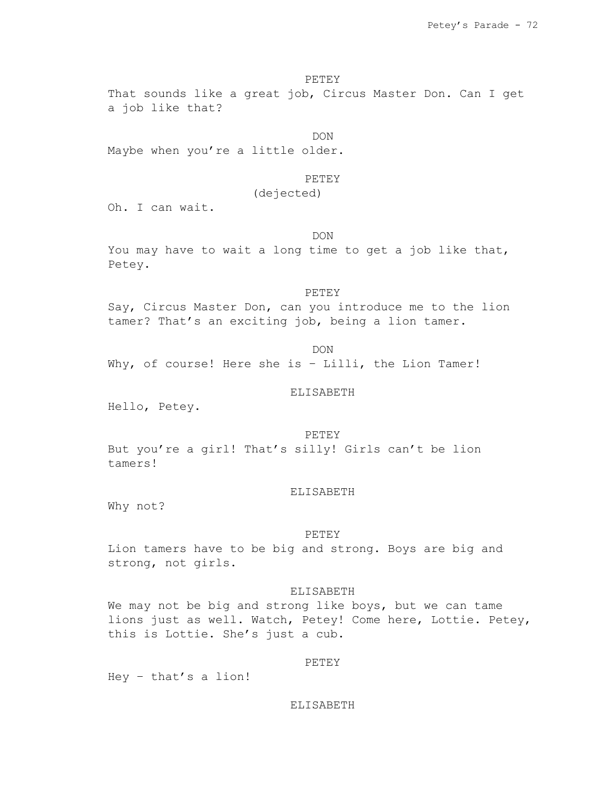PETEY

That sounds like a great job, Circus Master Don. Can I get a job like that?

DON

Maybe when you're a little older.

#### PETEY

(dejected)

Oh. I can wait.

DON

You may have to wait a long time to get a job like that, Petey.

#### PETEY

Say, Circus Master Don, can you introduce me to the lion tamer? That's an exciting job, being a lion tamer.

DON Why, of course! Here she is - Lilli, the Lion Tamer!

#### ELISABETH

Hello, Petey.

PETEY

But you're a girl! That's silly! Girls can't be lion tamers!

#### ELISABETH

Why not?

#### PETEY

Lion tamers have to be big and strong. Boys are big and strong, not girls.

### ELISABETH

We may not be big and strong like boys, but we can tame lions just as well. Watch, Petey! Come here, Lottie. Petey, this is Lottie. She's just a cub.

#### PETEY

Hey – that's a lion!

## ELISABETH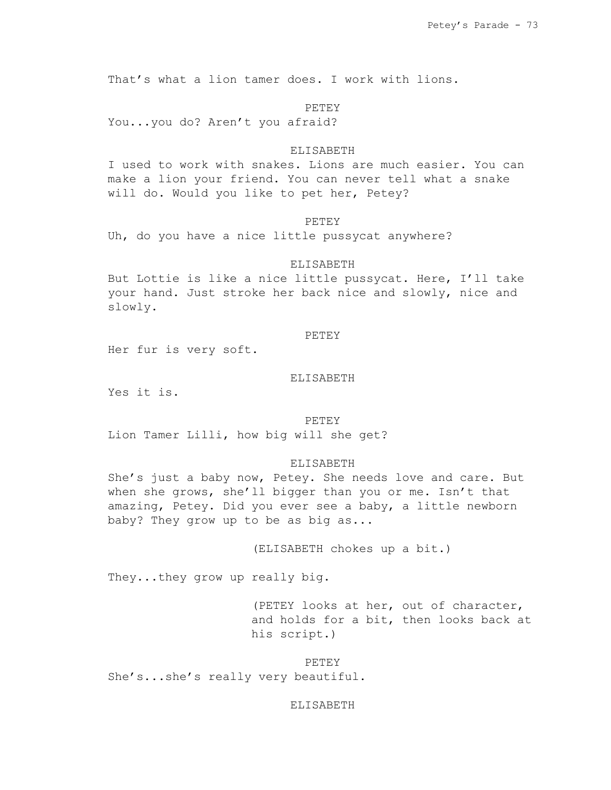That's what a lion tamer does. I work with lions.

PETEY

You...you do? Aren't you afraid?

## ELISABETH

I used to work with snakes. Lions are much easier. You can make a lion your friend. You can never tell what a snake will do. Would you like to pet her, Petey?

## **PETEY**

Uh, do you have a nice little pussycat anywhere?

# ELISABETH

But Lottie is like a nice little pussycat. Here, I'll take your hand. Just stroke her back nice and slowly, nice and slowly.

## PETEY

Her fur is very soft.

## ELISABETH

Yes it is.

#### PETEY

Lion Tamer Lilli, how big will she get?

#### ELISABETH

She's just a baby now, Petey. She needs love and care. But when she grows, she'll bigger than you or me. Isn't that amazing, Petey. Did you ever see a baby, a little newborn baby? They grow up to be as big as...

(ELISABETH chokes up a bit.)

They...they grow up really big.

(PETEY looks at her, out of character, and holds for a bit, then looks back at his script.)

PETEY

She's...she's really very beautiful.

#### ELISABETH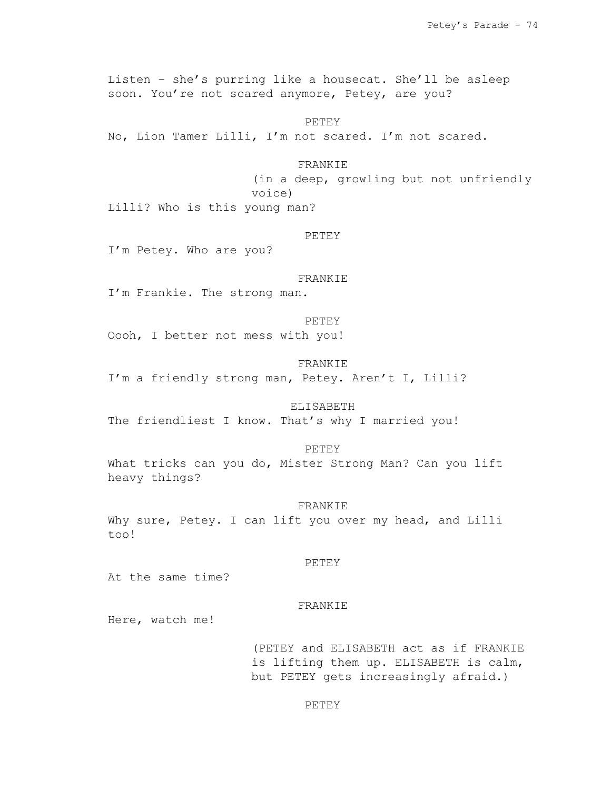Listen – she's purring like a housecat. She'll be asleep soon. You're not scared anymore, Petey, are you?

PETEY No, Lion Tamer Lilli, I'm not scared. I'm not scared.

## FRANKIE

(in a deep, growling but not unfriendly voice)

Lilli? Who is this young man?

# PETEY

I'm Petey. Who are you?

#### FRANKIE

I'm Frankie. The strong man.

#### PETEY

Oooh, I better not mess with you!

## FRANKIE

I'm a friendly strong man, Petey. Aren't I, Lilli?

# ELISABETH

The friendliest I know. That's why I married you!

## PETEY

What tricks can you do, Mister Strong Man? Can you lift heavy things?

#### FRANKIE

Why sure, Petey. I can lift you over my head, and Lilli too!

## PETEY

At the same time?

#### FRANKIE

Here, watch me!

(PETEY and ELISABETH act as if FRANKIE is lifting them up. ELISABETH is calm, but PETEY gets increasingly afraid.)

## PETEY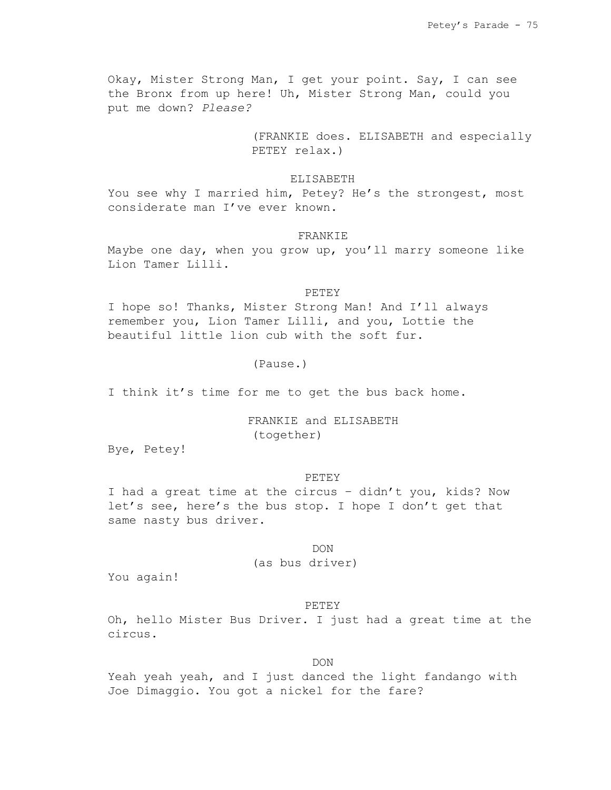Okay, Mister Strong Man, I get your point. Say, I can see the Bronx from up here! Uh, Mister Strong Man, could you put me down? *Please?*

> (FRANKIE does. ELISABETH and especially PETEY relax.)

### ELISABETH

You see why I married him, Petey? He's the strongest, most considerate man I've ever known.

# FRANKIE

Maybe one day, when you grow up, you'll marry someone like Lion Tamer Lilli.

#### PETEY

I hope so! Thanks, Mister Strong Man! And I'll always remember you, Lion Tamer Lilli, and you, Lottie the beautiful little lion cub with the soft fur.

# (Pause.)

I think it's time for me to get the bus back home.

# FRANKIE and ELISABETH (together)

Bye, Petey!

#### PETEY

I had a great time at the circus – didn't you, kids? Now let's see, here's the bus stop. I hope I don't get that same nasty bus driver.

# DON

(as bus driver)

You again!

#### PETEY

Oh, hello Mister Bus Driver. I just had a great time at the circus.

DON

Yeah yeah yeah, and I just danced the light fandango with Joe Dimaggio. You got a nickel for the fare?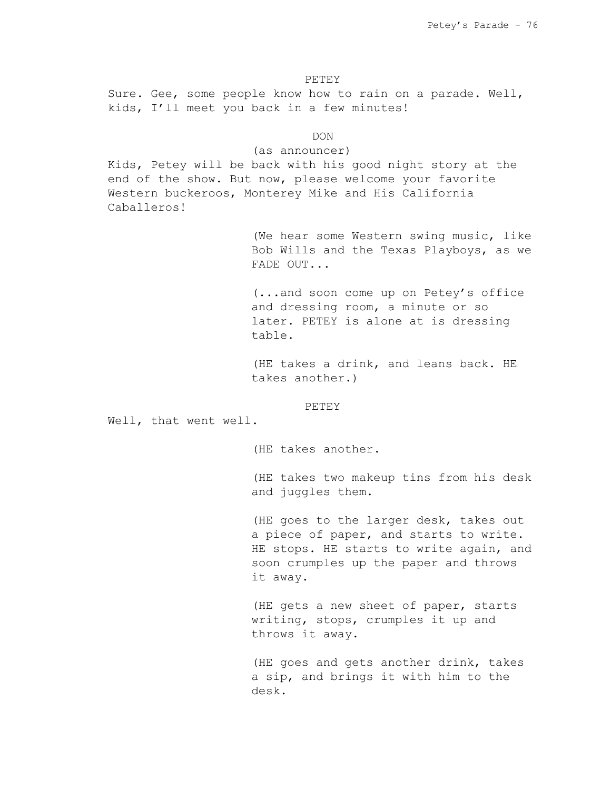PETEY Sure. Gee, some people know how to rain on a parade. Well, kids, I'll meet you back in a few minutes!

DON

(as announcer)

Kids, Petey will be back with his good night story at the end of the show. But now, please welcome your favorite Western buckeroos, Monterey Mike and His California Caballeros!

> (We hear some Western swing music, like Bob Wills and the Texas Playboys, as we FADE OUT...

(...and soon come up on Petey's office and dressing room, a minute or so later. PETEY is alone at is dressing table.

(HE takes a drink, and leans back. HE takes another.)

PETEY

Well, that went well.

(HE takes another.

(HE takes two makeup tins from his desk and juggles them.

(HE goes to the larger desk, takes out a piece of paper, and starts to write. HE stops. HE starts to write again, and soon crumples up the paper and throws it away.

(HE gets a new sheet of paper, starts writing, stops, crumples it up and throws it away.

(HE goes and gets another drink, takes a sip, and brings it with him to the desk.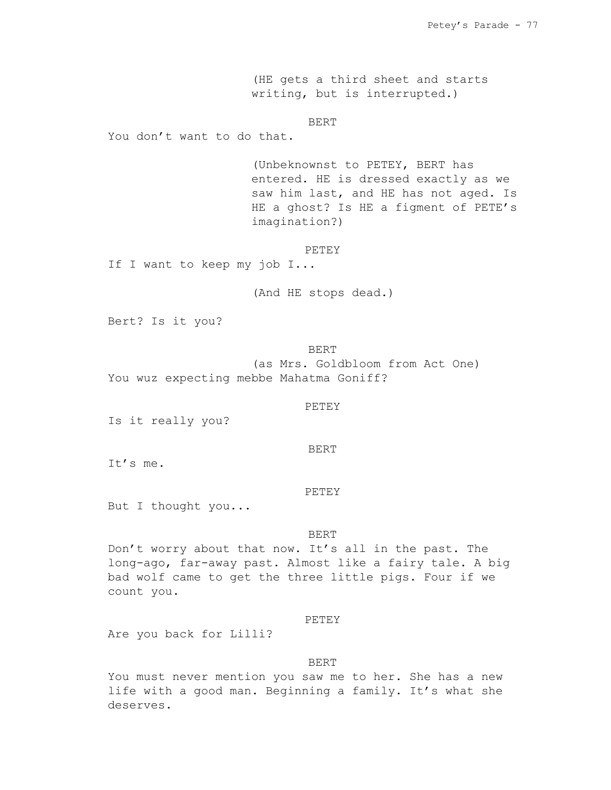(HE gets a third sheet and starts writing, but is interrupted.)

BERT

You don't want to do that.

(Unbeknownst to PETEY, BERT has entered. HE is dressed exactly as we saw him last, and HE has not aged. Is HE a ghost? Is HE a figment of PETE's imagination?)

#### PETEY

If I want to keep my job I...

(And HE stops dead.)

Bert? Is it you?

BERT (as Mrs. Goldbloom from Act One) You wuz expecting mebbe Mahatma Goniff?

### PETEY

Is it really you?

BERT

It's me.

#### PETEY

But I thought you...

## BERT

Don't worry about that now. It's all in the past. The long-ago, far-away past. Almost like a fairy tale. A big bad wolf came to get the three little pigs. Four if we count you.

## PETEY

Are you back for Lilli?

### BERT

You must never mention you saw me to her. She has a new life with a good man. Beginning a family. It's what she deserves.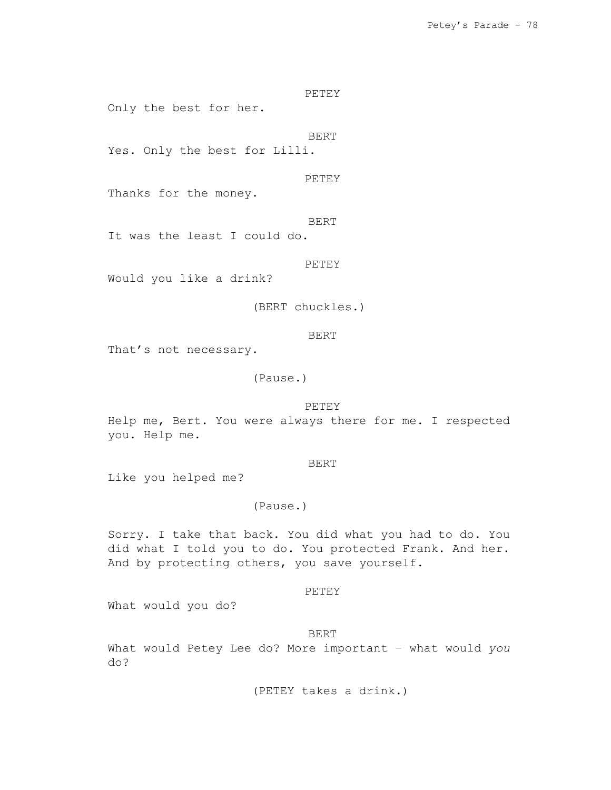PETEY Only the best for her.

BERT

Yes. Only the best for Lilli.

PETEY

Thanks for the money.

BERT

It was the least I could do.

PETEY

Would you like a drink?

(BERT chuckles.)

BERT

That's not necessary.

(Pause.)

PETEY

Help me, Bert. You were always there for me. I respected you. Help me.

BERT

Like you helped me?

(Pause.)

Sorry. I take that back. You did what you had to do. You did what I told you to do. You protected Frank. And her. And by protecting others, you save yourself.

PETEY

What would you do?

BERT

What would Petey Lee do? More important – what would *you* do?

(PETEY takes a drink.)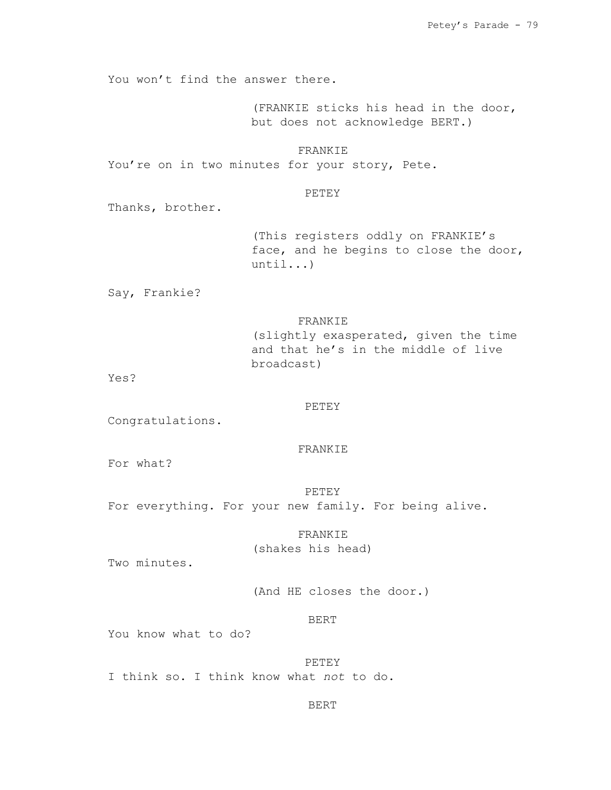You won't find the answer there.

(FRANKIE sticks his head in the door, but does not acknowledge BERT.)

FRANKIE

You're on in two minutes for your story, Pete.

# PETEY

Thanks, brother.

(This registers oddly on FRANKIE's face, and he begins to close the door, until...)

Say, Frankie?

## FRANKIE

(slightly exasperated, given the time and that he's in the middle of live broadcast)

Yes?

# PETEY

Congratulations.

## FRANKIE

For what?

PETEY

For everything. For your new family. For being alive.

FRANKIE

(shakes his head)

Two minutes.

(And HE closes the door.)

# BERT

You know what to do?

PETEY I think so. I think know what *not* to do.

# BERT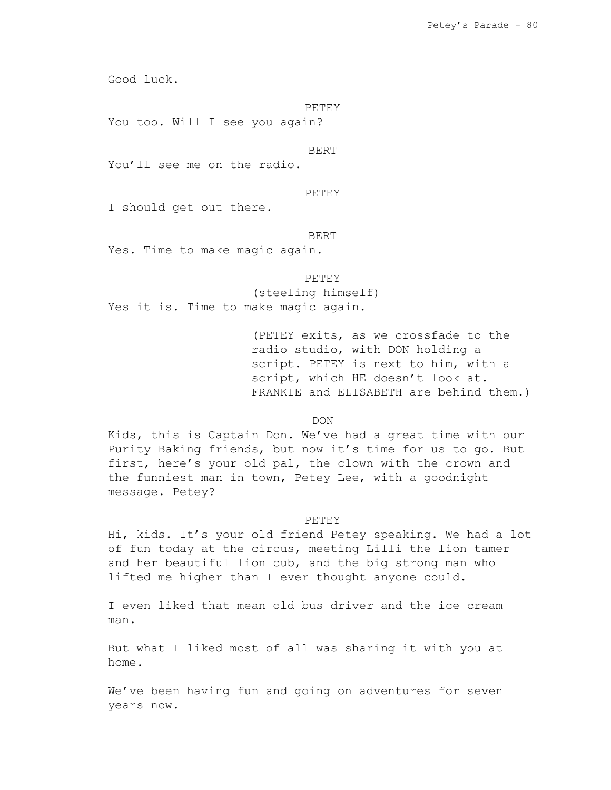Good luck.

PETEY

You too. Will I see you again?

BERT

You'll see me on the radio.

PETEY

I should get out there.

#### BERT

Yes. Time to make magic again.

PETEY

(steeling himself) Yes it is. Time to make magic again.

> (PETEY exits, as we crossfade to the radio studio, with DON holding a script. PETEY is next to him, with a script, which HE doesn't look at. FRANKIE and ELISABETH are behind them.)

> > DON

Kids, this is Captain Don. We've had a great time with our Purity Baking friends, but now it's time for us to go. But first, here's your old pal, the clown with the crown and the funniest man in town, Petey Lee, with a goodnight message. Petey?

#### PETEY

Hi, kids. It's your old friend Petey speaking. We had a lot of fun today at the circus, meeting Lilli the lion tamer and her beautiful lion cub, and the big strong man who lifted me higher than I ever thought anyone could.

I even liked that mean old bus driver and the ice cream man.

But what I liked most of all was sharing it with you at home.

We've been having fun and going on adventures for seven years now.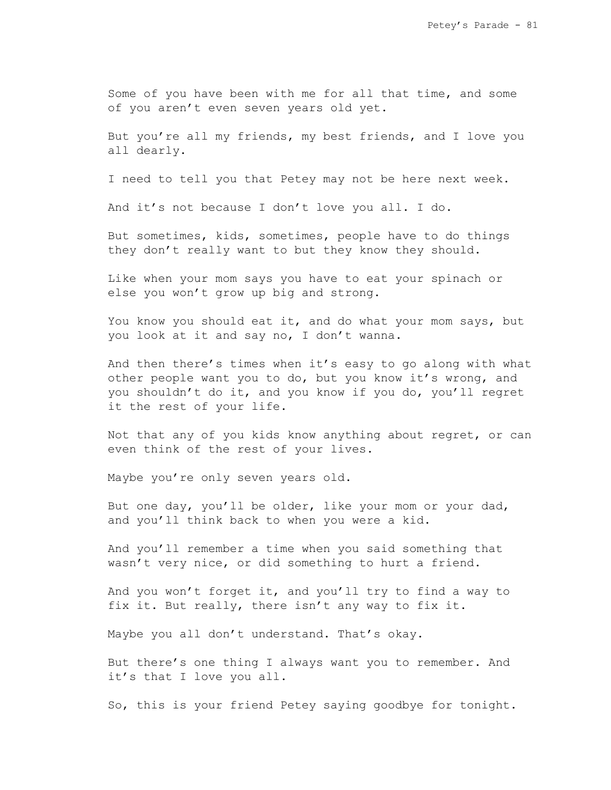Some of you have been with me for all that time, and some of you aren't even seven years old yet.

But you're all my friends, my best friends, and I love you all dearly.

I need to tell you that Petey may not be here next week.

And it's not because I don't love you all. I do.

But sometimes, kids, sometimes, people have to do things they don't really want to but they know they should.

Like when your mom says you have to eat your spinach or else you won't grow up big and strong.

You know you should eat it, and do what your mom says, but you look at it and say no, I don't wanna.

And then there's times when it's easy to go along with what other people want you to do, but you know it's wrong, and you shouldn't do it, and you know if you do, you'll regret it the rest of your life.

Not that any of you kids know anything about regret, or can even think of the rest of your lives.

Maybe you're only seven years old.

But one day, you'll be older, like your mom or your dad, and you'll think back to when you were a kid.

And you'll remember a time when you said something that wasn't very nice, or did something to hurt a friend.

And you won't forget it, and you'll try to find a way to fix it. But really, there isn't any way to fix it.

Maybe you all don't understand. That's okay.

But there's one thing I always want you to remember. And it's that I love you all.

So, this is your friend Petey saying goodbye for tonight.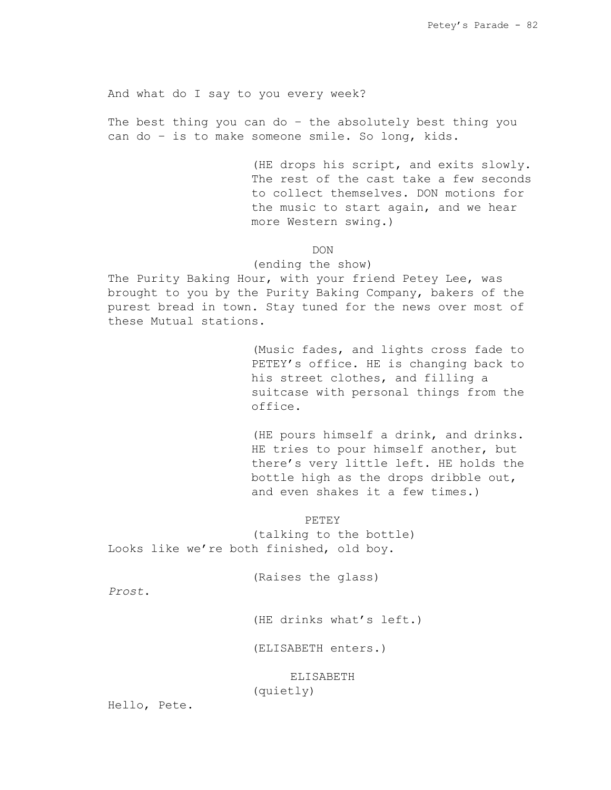And what do I say to you every week?

The best thing you can do – the absolutely best thing you can do – is to make someone smile. So long, kids.

> (HE drops his script, and exits slowly. The rest of the cast take a few seconds to collect themselves. DON motions for the music to start again, and we hear more Western swing.)

> > DON

## (ending the show)

The Purity Baking Hour, with your friend Petey Lee, was brought to you by the Purity Baking Company, bakers of the purest bread in town. Stay tuned for the news over most of these Mutual stations.

> (Music fades, and lights cross fade to PETEY's office. HE is changing back to his street clothes, and filling a suitcase with personal things from the office.

> (HE pours himself a drink, and drinks. HE tries to pour himself another, but there's very little left. HE holds the bottle high as the drops dribble out, and even shakes it a few times.)

> > PETEY

(talking to the bottle) Looks like we're both finished, old boy.

(Raises the glass)

*Prost*.

(HE drinks what's left.)

(ELISABETH enters.)

ELISABETH (quietly)

Hello, Pete.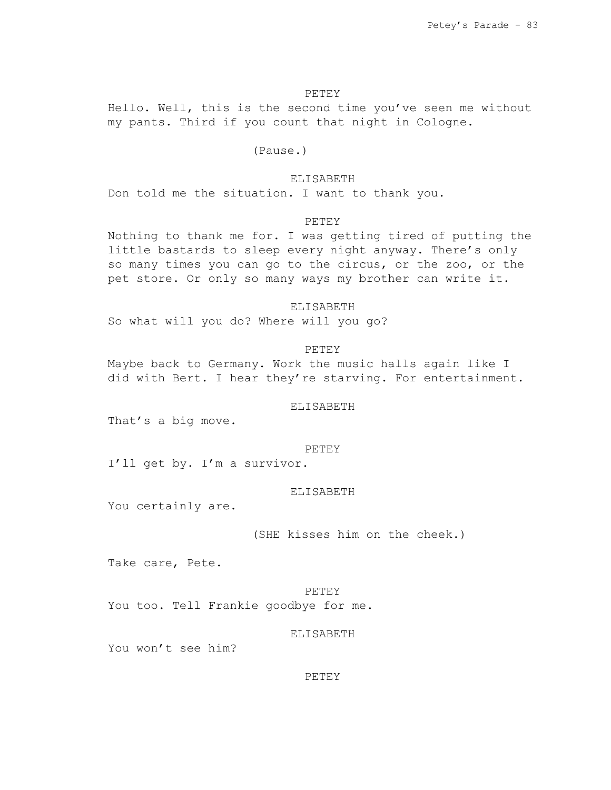# PETEY

Hello. Well, this is the second time you've seen me without my pants. Third if you count that night in Cologne.

# (Pause.)

#### ELISABETH

Don told me the situation. I want to thank you.

## PETEY

Nothing to thank me for. I was getting tired of putting the little bastards to sleep every night anyway. There's only so many times you can go to the circus, or the zoo, or the pet store. Or only so many ways my brother can write it.

# ELISABETH

So what will you do? Where will you go?

### PETEY

Maybe back to Germany. Work the music halls again like I did with Bert. I hear they're starving. For entertainment.

### ELISABETH

That's a big move.

#### PETEY

I'll get by. I'm a survivor.

#### ELISABETH

You certainly are.

## (SHE kisses him on the cheek.)

Take care, Pete.

# PETEY

You too. Tell Frankie goodbye for me.

#### ELISABETH

You won't see him?

## PETEY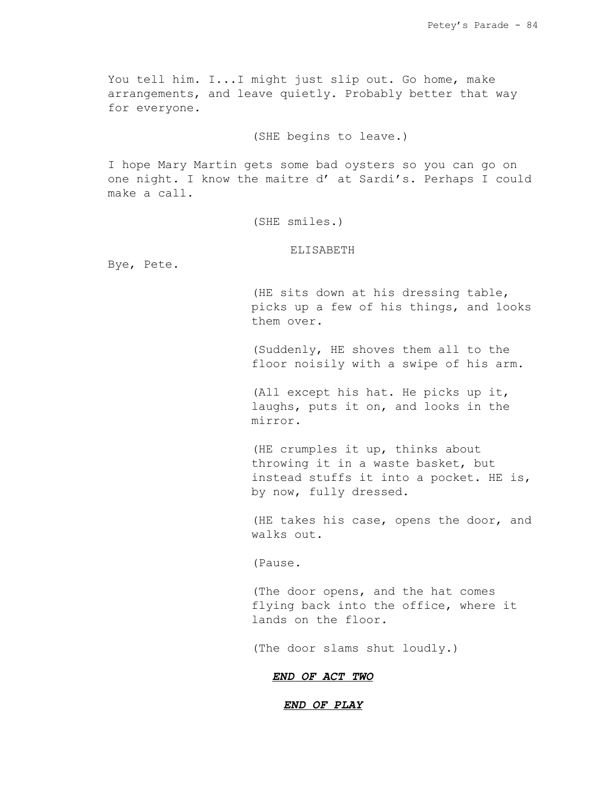You tell him. I...I might just slip out. Go home, make arrangements, and leave quietly. Probably better that way for everyone.

(SHE begins to leave.)

I hope Mary Martin gets some bad oysters so you can go on one night. I know the maitre d' at Sardi's. Perhaps I could make a call.

(SHE smiles.)

### ELISABETH

Bye, Pete.

(HE sits down at his dressing table, picks up a few of his things, and looks them over.

(Suddenly, HE shoves them all to the floor noisily with a swipe of his arm.

(All except his hat. He picks up it, laughs, puts it on, and looks in the mirror.

(HE crumples it up, thinks about throwing it in a waste basket, but instead stuffs it into a pocket. HE is, by now, fully dressed.

(HE takes his case, opens the door, and walks out.

(Pause.

(The door opens, and the hat comes flying back into the office, where it lands on the floor.

(The door slams shut loudly.)

## *END OF ACT TWO*

## *END OF PLAY*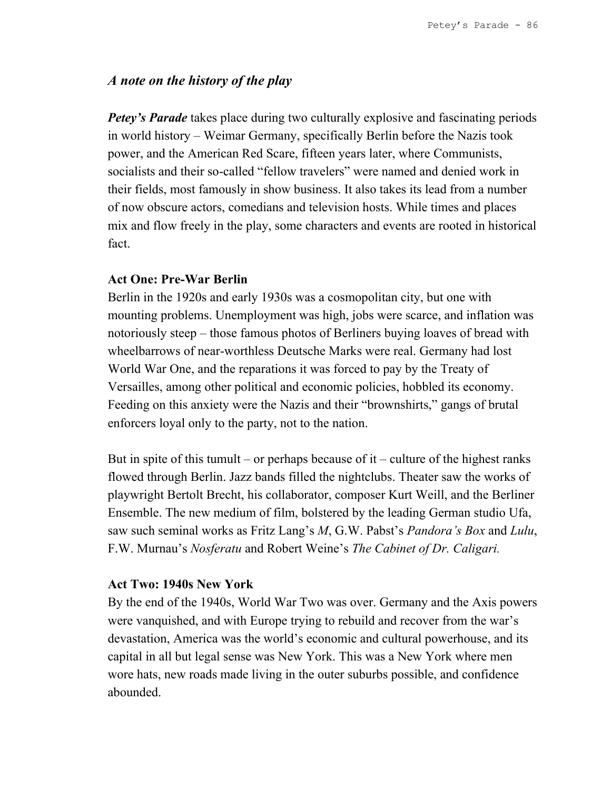# *A note on the history of the play*

*Petey's Parade* takes place during two culturally explosive and fascinating periods in world history – Weimar Germany, specifically Berlin before the Nazis took power, and the American Red Scare, fifteen years later, where Communists, socialists and their so-called "fellow travelers" were named and denied work in their fields, most famously in show business. It also takes its lead from a number of now obscure actors, comedians and television hosts. While times and places mix and flow freely in the play, some characters and events are rooted in historical fact.

# **Act One: Pre-War Berlin**

Berlin in the 1920s and early 1930s was a cosmopolitan city, but one with mounting problems. Unemployment was high, jobs were scarce, and inflation was notoriously steep – those famous photos of Berliners buying loaves of bread with wheelbarrows of near-worthless Deutsche Marks were real. Germany had lost World War One, and the reparations it was forced to pay by the Treaty of Versailles, among other political and economic policies, hobbled its economy. Feeding on this anxiety were the Nazis and their "brownshirts," gangs of brutal enforcers loyal only to the party, not to the nation.

But in spite of this tumult – or perhaps because of it – culture of the highest ranks flowed through Berlin. Jazz bands filled the nightclubs. Theater saw the works of playwright Bertolt Brecht, his collaborator, composer Kurt Weill, and the Berliner Ensemble. The new medium of film, bolstered by the leading German studio Ufa, saw such seminal works as Fritz Lang's *M*, G.W. Pabst's *Pandora's Box* and *Lulu*, F.W. Murnau's *Nosferatu* and Robert Weine's *The Cabinet of Dr. Caligari.*

# **Act Two: 1940s New York**

By the end of the 1940s, World War Two was over. Germany and the Axis powers were vanquished, and with Europe trying to rebuild and recover from the war's devastation, America was the world's economic and cultural powerhouse, and its capital in all but legal sense was New York. This was a New York where men wore hats, new roads made living in the outer suburbs possible, and confidence abounded.